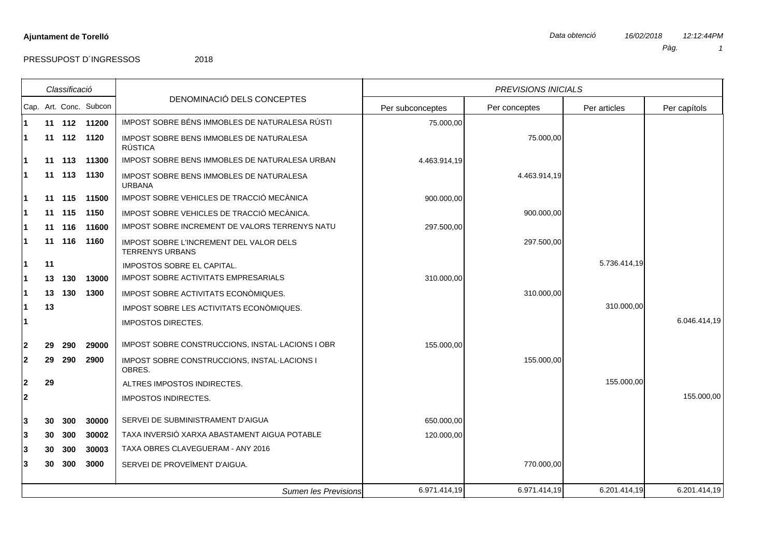|                | Classificació |             |                        |                                                                   | PREVISIONS INICIALS |               |              |              |  |
|----------------|---------------|-------------|------------------------|-------------------------------------------------------------------|---------------------|---------------|--------------|--------------|--|
|                |               |             | Cap. Art. Conc. Subcon | DENOMINACIÓ DELS CONCEPTES                                        | Per subconceptes    | Per conceptes | Per articles | Per capítols |  |
|                |               |             | 11 112 11200           | IMPOST SOBRE BÉNS IMMOBLES DE NATURALESA RÚSTI                    | 75.000,00           |               |              |              |  |
|                |               | 11 112 1120 |                        | IMPOST SOBRE BENS IMMOBLES DE NATURALESA<br><b>RÚSTICA</b>        |                     | 75.000,00     |              |              |  |
|                |               | 11 113      | 11300                  | IMPOST SOBRE BENS IMMOBLES DE NATURALESA URBAN                    | 4.463.914,19        |               |              |              |  |
|                |               | 11 113 1130 |                        | IMPOST SOBRE BENS IMMOBLES DE NATURALESA<br><b>URBANA</b>         |                     | 4.463.914,19  |              |              |  |
|                |               |             | 11 115 11500           | IMPOST SOBRE VEHICLES DE TRACCIÓ MECÀNICA                         | 900.000,00          |               |              |              |  |
|                |               | 11 115      | 1150                   | IMPOST SOBRE VEHICLES DE TRACCIÓ MECÀNICA.                        |                     | 900.000,00    |              |              |  |
|                |               | 11 116      | 11600                  | IMPOST SOBRE INCREMENT DE VALORS TERRENYS NATU                    | 297.500,00          |               |              |              |  |
|                |               | 11 116 1160 |                        | IMPOST SOBRE L'INCREMENT DEL VALOR DELS<br><b>TERRENYS URBANS</b> |                     | 297.500,00    |              |              |  |
|                | 11            |             |                        | IMPOSTOS SOBRE EL CAPITAL.                                        |                     |               | 5.736.414,19 |              |  |
|                | 13            | 130         | 13000                  | <b>IMPOST SOBRE ACTIVITATS EMPRESARIALS</b>                       | 310.000,00          |               |              |              |  |
|                |               | 13 130      | 1300                   | IMPOST SOBRE ACTIVITATS ECONOMIQUES.                              |                     | 310.000,00    |              |              |  |
|                | 13            |             |                        | IMPOST SOBRE LES ACTIVITATS ECONOMIQUES.                          |                     |               | 310.000,00   |              |  |
|                |               |             |                        | <b>IMPOSTOS DIRECTES.</b>                                         |                     |               |              | 6.046.414,19 |  |
| $\mathbf{2}$   | 29            | 290         | 29000                  | IMPOST SOBRE CONSTRUCCIONS, INSTAL-LACIONS I OBR                  | 155.000,00          |               |              |              |  |
| $\mathbf{2}$   | 29            | 290         | 2900                   | IMPOST SOBRE CONSTRUCCIONS, INSTAL-LACIONS I<br>OBRES.            |                     | 155.000,00    |              |              |  |
| $\mathbf 2$    | 29            |             |                        | ALTRES IMPOSTOS INDIRECTES.                                       |                     |               | 155.000,00   |              |  |
| $\overline{2}$ |               |             |                        | <b>IMPOSTOS INDIRECTES.</b>                                       |                     |               |              | 155.000,00   |  |
| 3              | 30            | 300         | 30000                  | SERVEI DE SUBMINISTRAMENT D'AIGUA                                 | 650.000,00          |               |              |              |  |
| 3              | 30            | 300         | 30002                  | TAXA INVERSIÓ XARXA ABASTAMENT AIGUA POTABLE                      | 120.000,00          |               |              |              |  |
| 3              | 30            | 300         | 30003                  | TAXA OBRES CLAVEGUERAM - ANY 2016                                 |                     |               |              |              |  |
| 3              | 30            | 300         | 3000                   | SERVEI DE PROVEÏMENT D'AIGUA.                                     |                     | 770.000,00    |              |              |  |
|                |               |             |                        | Sumen les Previsions                                              | 6.971.414,19        | 6.971.414,19  | 6.201.414,19 | 6.201.414,19 |  |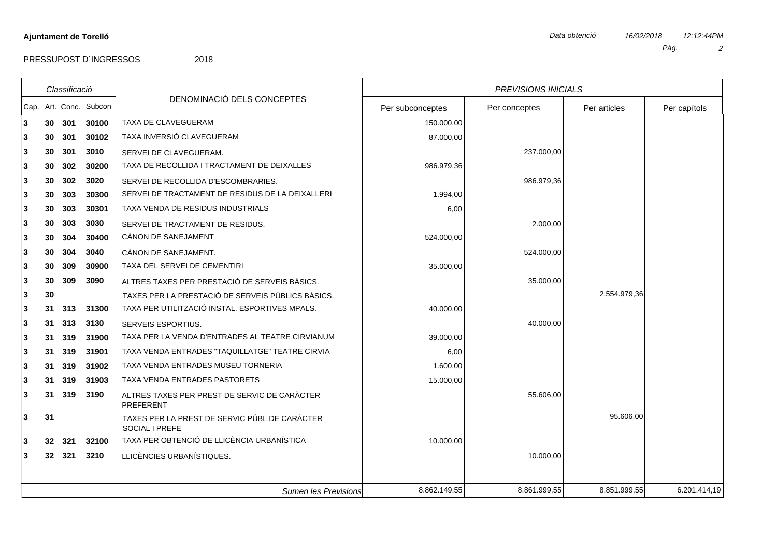|    | Classificació |        |                        |                                                                 |                  | <b>PREVISIONS INICIALS</b> |              |              |
|----|---------------|--------|------------------------|-----------------------------------------------------------------|------------------|----------------------------|--------------|--------------|
|    |               |        | Cap. Art. Conc. Subcon | DENOMINACIÓ DELS CONCEPTES                                      | Per subconceptes | Per conceptes              | Per articles | Per capítols |
| 3. |               | 30 301 | 30100                  | TAXA DE CLAVEGUERAM                                             | 150.000,00       |                            |              |              |
| 3  | 30            | 301    | 30102                  | TAXA INVERSIÓ CLAVEGUERAM                                       | 87.000,00        |                            |              |              |
| 3  | 30            | 301    | 3010                   | SERVEI DE CLAVEGUERAM.                                          |                  | 237.000,00                 |              |              |
| 3  | 30            | 302    | 30200                  | TAXA DE RECOLLIDA I TRACTAMENT DE DEIXALLES                     | 986.979,36       |                            |              |              |
| 3  | 30            | 302    | 3020                   | SERVEI DE RECOLLIDA D'ESCOMBRARIES.                             |                  | 986.979,36                 |              |              |
| 3  | 30            | 303    | 30300                  | SERVEI DE TRACTAMENT DE RESIDUS DE LA DEIXALLERI                | 1.994,00         |                            |              |              |
| 3  | 30            | 303    | 30301                  | TAXA VENDA DE RESIDUS INDUSTRIALS                               | 6,00             |                            |              |              |
| 3  | 30            | 303    | 3030                   | SERVEI DE TRACTAMENT DE RESIDUS.                                |                  | 2.000,00                   |              |              |
| 3  | 30            | 304    | 30400                  | CÀNON DE SANEJAMENT                                             | 524.000,00       |                            |              |              |
| 3  | 30            | 304    | 3040                   | CÀNON DE SANEJAMENT.                                            |                  | 524.000,00                 |              |              |
| 3  | 30            | 309    | 30900                  | TAXA DEL SERVEI DE CEMENTIRI                                    | 35.000,00        |                            |              |              |
| 3  | 30            | 309    | 3090                   | ALTRES TAXES PER PRESTACIÓ DE SERVEIS BÀSICS.                   |                  | 35.000,00                  |              |              |
| 3  | 30            |        |                        | TAXES PER LA PRESTACIÓ DE SERVEIS PÚBLICS BÀSICS.               |                  |                            | 2.554.979,36 |              |
| 3  | 31            | 313    | 31300                  | TAXA PER UTILITZACIÓ INSTAL. ESPORTIVES MPALS.                  | 40.000,00        |                            |              |              |
| 3  | 31            | 313    | 3130                   | SERVEIS ESPORTIUS.                                              |                  | 40.000,00                  |              |              |
| 3  | 31            | 319    | 31900                  | TAXA PER LA VENDA D'ENTRADES AL TEATRE CIRVIANUM                | 39.000,00        |                            |              |              |
| 3  | 31            | 319    | 31901                  | TAXA VENDA ENTRADES "TAQUILLATGE" TEATRE CIRVIA                 | 6,00             |                            |              |              |
| 3  | 31            | 319    | 31902                  | TAXA VENDA ENTRADES MUSEU TORNERIA                              | 1.600,00         |                            |              |              |
| 3  | 31            | 319    | 31903                  | TAXA VENDA ENTRADES PASTORETS                                   | 15.000,00        |                            |              |              |
| 3  |               | 31 319 | 3190                   | ALTRES TAXES PER PREST DE SERVIC DE CARÀCTER<br>PREFERENT       |                  | 55.606,00                  |              |              |
| 3  | 31            |        |                        | TAXES PER LA PREST DE SERVIC PÚBL DE CARÀCTER<br>SOCIAL I PREFE |                  |                            | 95.606,00    |              |
| 3. | 32            | 321    | 32100                  | TAXA PER OBTENCIÓ DE LLICÈNCIA URBANÍSTICA                      | 10.000,00        |                            |              |              |
| 3  |               | 32 321 | 3210                   | LLICÈNCIES URBANÍSTIQUES.                                       |                  | 10.000,00                  |              |              |
|    |               |        |                        |                                                                 |                  |                            |              |              |
|    |               |        |                        | <b>Sumen les Previsions</b>                                     | 8.862.149,55     | 8.861.999,55               | 8.851.999,55 | 6.201.414,19 |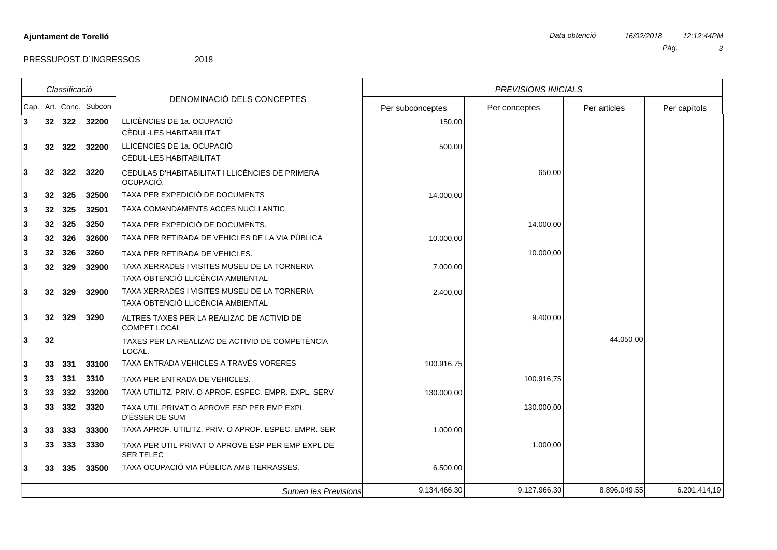|   | Classificació   |        |                        |                                                                                   | <b>PREVISIONS INICIALS</b> |               |              |              |  |
|---|-----------------|--------|------------------------|-----------------------------------------------------------------------------------|----------------------------|---------------|--------------|--------------|--|
|   |                 |        | Cap. Art. Conc. Subcon | DENOMINACIÓ DELS CONCEPTES                                                        | Per subconceptes           | Per conceptes | Per articles | Per capítols |  |
| 3 |                 | 32 322 | 32200                  | LLICÈNCIES DE 1a. OCUPACIÓ                                                        | 150,00                     |               |              |              |  |
|   |                 |        |                        | CÈDUL·LES HABITABILITAT                                                           |                            |               |              |              |  |
| 3 |                 | 32 322 | 32200                  | LLICÈNCIES DE 1a. OCUPACIÓ                                                        | 500,00                     |               |              |              |  |
|   |                 |        |                        | CÈDUL-LES HABITABILITAT                                                           |                            |               |              |              |  |
| 3 | 32 <sub>2</sub> | 322    | 3220                   | CEDULAS D'HABITABILITAT I LLICÈNCIES DE PRIMERA<br>OCUPACIÓ.                      |                            | 650,00        |              |              |  |
| 3 | 32              | 325    | 32500                  | TAXA PER EXPEDICIÓ DE DOCUMENTS                                                   | 14.000,00                  |               |              |              |  |
| 3 |                 | 32 325 | 32501                  | TAXA COMANDAMENTS ACCES NUCLI ANTIC                                               |                            |               |              |              |  |
| 3 |                 | 32 325 | 3250                   | TAXA PER EXPEDICIÓ DE DOCUMENTS.                                                  |                            | 14.000,00     |              |              |  |
| 3 |                 | 32 326 | 32600                  | TAXA PER RETIRADA DE VEHICLES DE LA VIA PÚBLICA                                   | 10.000,00                  |               |              |              |  |
| 3 |                 | 32 326 | 3260                   | TAXA PER RETIRADA DE VEHICLES.                                                    |                            | 10.000.00     |              |              |  |
| 3 |                 | 32 329 | 32900                  | TAXA XERRADES I VISITES MUSEU DE LA TORNERIA<br>TAXA OBTENCIÓ LLICÈNCIA AMBIENTAL | 7.000,00                   |               |              |              |  |
| 3 |                 | 32 329 | 32900                  | TAXA XERRADES I VISITES MUSEU DE LA TORNERIA<br>TAXA OBTENCIÓ LLICÈNCIA AMBIENTAL | 2.400,00                   |               |              |              |  |
| 3 | 32 <sub>2</sub> | 329    | 3290                   | ALTRES TAXES PER LA REALIZAC DE ACTIVID DE<br><b>COMPET LOCAL</b>                 |                            | 9.400,00      |              |              |  |
| 3 | 32              |        |                        | TAXES PER LA REALIZAC DE ACTIVID DE COMPETÈNCIA<br>LOCAL.                         |                            |               | 44.050,00    |              |  |
| 3 | 33 <sup>2</sup> | 331    | 33100                  | TAXA ENTRADA VEHICLES A TRAVÉS VORERES                                            | 100.916,75                 |               |              |              |  |
| 3 |                 | 33 331 | 3310                   | TAXA PER ENTRADA DE VEHICLES.                                                     |                            | 100.916,75    |              |              |  |
| 3 |                 | 33 332 | 33200                  | TAXA UTILITZ, PRIV, O APROF, ESPEC, EMPR, EXPL, SERV                              | 130.000,00                 |               |              |              |  |
| 3 |                 | 33 332 | 3320                   | TAXA UTIL PRIVAT O APROVE ESP PER EMP EXPL<br>D'ÉSSER DE SUM                      |                            | 130.000,00    |              |              |  |
| 3 |                 | 33 333 | 33300                  | TAXA APROF. UTILITZ. PRIV. O APROF. ESPEC. EMPR. SER                              | 1.000,00                   |               |              |              |  |
| 3 |                 | 33 333 | 3330                   | TAXA PER UTIL PRIVAT O APROVE ESP PER EMP EXPL DE<br><b>SER TELEC</b>             |                            | 1.000,00      |              |              |  |
| 3 |                 | 33 335 | 33500                  | TAXA OCUPACIÓ VIA PÚBLICA AMB TERRASSES.                                          | 6.500,00                   |               |              |              |  |
|   |                 |        |                        | <b>Sumen les Previsions</b>                                                       | 9.134.466,30               | 9.127.966,30  | 8.896.049,55 | 6.201.414,19 |  |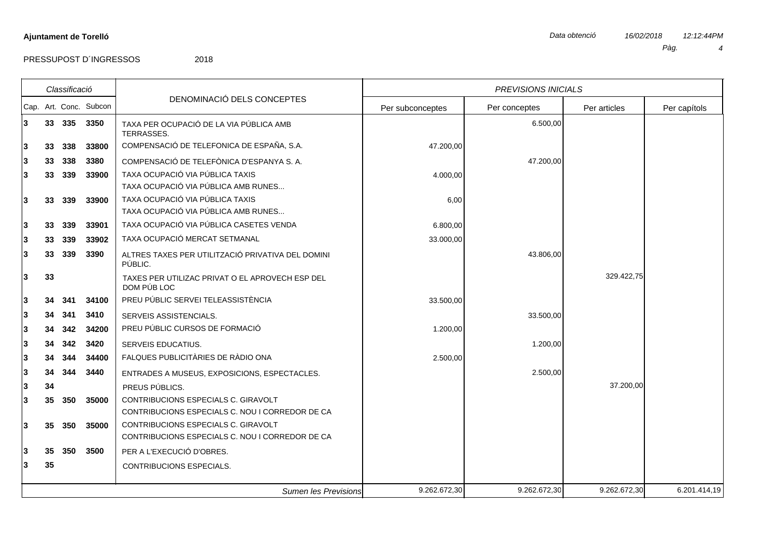|        |          | Classificació |                        |                                                                                                          |                  | <b>PREVISIONS INICIALS</b> |              |              |
|--------|----------|---------------|------------------------|----------------------------------------------------------------------------------------------------------|------------------|----------------------------|--------------|--------------|
|        |          |               | Cap. Art. Conc. Subcon | DENOMINACIÓ DELS CONCEPTES                                                                               | Per subconceptes | Per conceptes              | Per articles | Per capítols |
| 3      |          | 33 335        | 3350                   | TAXA PER OCUPACIÓ DE LA VIA PÚBLICA AMB<br>TERRASSES.                                                    |                  | 6.500,00                   |              |              |
| 3      | 33       | 338           | 33800                  | COMPENSACIÓ DE TELEFONICA DE ESPAÑA, S.A.                                                                | 47.200,00        |                            |              |              |
| 3      | 33       | 338           | 3380                   | COMPENSACIÓ DE TELEFÒNICA D'ESPANYA S.A.                                                                 |                  | 47.200,00                  |              |              |
| 3      | 33       | 339           | 33900                  | TAXA OCUPACIÓ VIA PÚBLICA TAXIS<br>TAXA OCUPACIÓ VIA PÚBLICA AMB RUNES                                   | 4.000,00         |                            |              |              |
| 3      | 33       | 339           | 33900                  | TAXA OCUPACIÓ VIA PÚBLICA TAXIS<br>TAXA OCUPACIÓ VIA PÚBLICA AMB RUNES                                   | 6,00             |                            |              |              |
| 3      | 33       | 339           | 33901                  | TAXA OCUPACIÓ VIA PÚBLICA CASETES VENDA                                                                  | 6.800,00         |                            |              |              |
| 3      | 33       | 339           | 33902                  | TAXA OCUPACIÓ MERCAT SETMANAL                                                                            | 33.000,00        |                            |              |              |
| 3      | 33       | 339           | 3390                   | ALTRES TAXES PER UTILITZACIÓ PRIVATIVA DEL DOMINI<br>PÚBLIC.                                             |                  | 43.806,00                  |              |              |
| 3      | 33       |               |                        | TAXES PER UTILIZAC PRIVAT O EL APROVECH ESP DEL<br>DOM PÚB LOC                                           |                  |                            | 329.422,75   |              |
| 3      | 34       | 341           | 34100                  | PREU PÚBLIC SERVEI TELEASSISTÈNCIA                                                                       | 33.500,00        |                            |              |              |
| 3      | 34       | 341           | 3410                   | SERVEIS ASSISTENCIALS.                                                                                   |                  | 33.500,00                  |              |              |
| 3      | 34       | 342           | 34200                  | PREU PÚBLIC CURSOS DE FORMACIÓ                                                                           | 1.200,00         |                            |              |              |
| 3      | 34       | 342           | 3420                   | SERVEIS EDUCATIUS.                                                                                       |                  | 1.200,00                   |              |              |
| 3      | 34       | 344           | 34400                  | FALQUES PUBLICITÀRIES DE RÀDIO ONA                                                                       | 2.500,00         |                            |              |              |
| 3      | 34       | 344           | 3440                   | ENTRADES A MUSEUS, EXPOSICIONS, ESPECTACLES.                                                             |                  | 2.500,00                   |              |              |
| 3<br>3 | 34<br>35 | 350           | 35000                  | PREUS PÚBLICS.<br>CONTRIBUCIONS ESPECIALS C. GIRAVOLT<br>CONTRIBUCIONS ESPECIALS C. NOU I CORREDOR DE CA |                  |                            | 37.200,00    |              |
| 3      | 35       | 350           | 35000                  | CONTRIBUCIONS ESPECIALS C. GIRAVOLT<br>CONTRIBUCIONS ESPECIALS C. NOU I CORREDOR DE CA                   |                  |                            |              |              |
| 3      | 35       | 350           | 3500                   | PER A L'EXECUCIÓ D'OBRES.                                                                                |                  |                            |              |              |
| 3      | 35       |               |                        | CONTRIBUCIONS ESPECIALS.                                                                                 |                  |                            |              |              |
|        |          |               |                        | <b>Sumen les Previsions</b>                                                                              | 9.262.672,30     | 9.262.672,30               | 9.262.672,30 | 6.201.414,19 |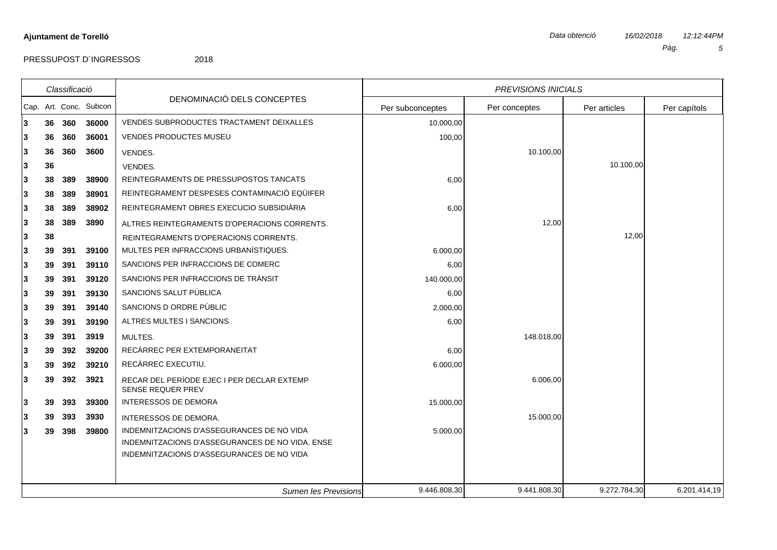PRESSUPOST D'INGRESSOS 2018

## *Classificació* Cap. Art. Conc. Subcon DENOMINACIÓ DELS CONCEPTES *PREVISIONS INICIALS* Per conceptes | Per articles | Per capítols Per subconceptes **3 36 360 36000** VENDES SUBPRODUCTES TRACTAMENT DEIXALLES 10.000,00 **3 36 360 36001** VENDES PRODUCTES MUSEU 100,00 **3 36 360 3600** VENDES. 10.100,00 **3 36** VENDES. 10.100,00 **3 38 389 38900** REINTEGRAMENTS DE PRESSUPOSTOS TANCATS 6,00 **3 38 389 38901** REINTEGRAMENT DESPESES CONTAMINACIÓ EQÜIFER **3 38 389 38902** REINTEGRAMENT OBRES EXECUCIO SUBSIDIÀRIA 6,00 **3 38 389 3890** ALTRES REINTEGRAMENTS D'OPERACIONS CORRENTS. 12,00 **3 38** REINTEGRAMENTS D'OPERACIONS CORRENTS. 12,00 **3 39 391 39100** MULTES PER INFRACCIONS URBANÍSTIQUES. 6.000,00 **3 39 391 39110** SANCIONS PER INFRACCIONS DE COMERC 6,00 **3 39 391 39120** SANCIONS PER INFRACCIONS DE TRÀNSIT 140.000,00 **3 39 391 39130** SANCIONS SALUT PÚBLICA 6,00 **3 39 391 39140** SANCIONS D ORDRE PÚBLIC 2.000,00 **3 39 391 39190** ALTRES MULTES I SANCIONS. 6,00 **3 39 391 3919** MULTES. 148.018,00 **3 39 392 39200** RECÀRREC PER EXTEMPORANEITAT 6,00 **3 39 392 39210** RECÀRREC EXECUTIU. 6.000,00 **3 39 392 3921 EXECAR DEL PERÍODE EJEC I PER DECLAR EXTEMP 6.006,00** SENSE REQUER PREV **3 39 393 39300** INTERESSOS DE DEMORA 15.000,00 **3 39 393 3930** INTERESSOS DE DEMORA. 15.000,00 **3 39 398 39800** INDEMNITZACIONS D'ASSEGURANCES DE NO VIDA 5.000,00 INDEMNITZACIONS D'ASSEGURANCES DE NO VIDA. ENSE INDEMNITZACIONS D'ASSEGURANCES DE NO VIDA

*Sumen les Previsions* 9.446.808,30 9.441.808,30 9.272.784,30 6.201.414,19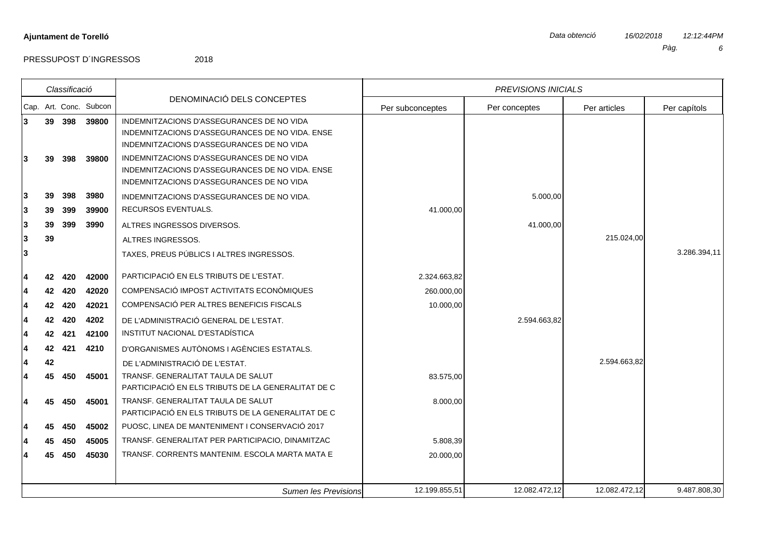$\overline{\phantom{a}}$ 

PRESSUPOST D'INGRESSOS 2018

┱

|   |    | Classificació |                        |                                                                                              |                  | <b>PREVISIONS INICIALS</b> |               |              |
|---|----|---------------|------------------------|----------------------------------------------------------------------------------------------|------------------|----------------------------|---------------|--------------|
|   |    |               | Cap. Art. Conc. Subcon | DENOMINACIÓ DELS CONCEPTES                                                                   | Per subconceptes | Per conceptes              | Per articles  | Per capítols |
| 3 |    | 39 398        | 39800                  | INDEMNITZACIONS D'ASSEGURANCES DE NO VIDA                                                    |                  |                            |               |              |
|   |    |               |                        | INDEMNITZACIONS D'ASSEGURANCES DE NO VIDA. ENSE                                              |                  |                            |               |              |
|   |    |               |                        | INDEMNITZACIONS D'ASSEGURANCES DE NO VIDA                                                    |                  |                            |               |              |
| 3 | 39 | 398           | 39800                  | INDEMNITZACIONS D'ASSEGURANCES DE NO VIDA                                                    |                  |                            |               |              |
|   |    |               |                        | INDEMNITZACIONS D'ASSEGURANCES DE NO VIDA. ENSE<br>INDEMNITZACIONS D'ASSEGURANCES DE NO VIDA |                  |                            |               |              |
| 3 | 39 | 398           | 3980                   |                                                                                              |                  | 5.000,00                   |               |              |
|   |    |               |                        | INDEMNITZACIONS D'ASSEGURANCES DE NO VIDA.<br>RECURSOS EVENTUALS.                            |                  |                            |               |              |
| 3 | 39 | 399           | 39900                  |                                                                                              | 41.000,00        |                            |               |              |
| 3 | 39 | 399           | 3990                   | ALTRES INGRESSOS DIVERSOS.                                                                   |                  | 41.000,00                  |               |              |
| 3 | 39 |               |                        | ALTRES INGRESSOS.                                                                            |                  |                            | 215.024,00    |              |
| 3 |    |               |                        | TAXES, PREUS PÚBLICS I ALTRES INGRESSOS.                                                     |                  |                            |               | 3.286.394,11 |
| 4 | 42 | 420           | 42000                  | PARTICIPACIÓ EN ELS TRIBUTS DE L'ESTAT.                                                      | 2.324.663,82     |                            |               |              |
|   | 42 | 420           | 42020                  | COMPENSACIÓ IMPOST ACTIVITATS ECONÒMIQUES                                                    | 260.000,00       |                            |               |              |
|   | 42 | 420           | 42021                  | COMPENSACIÓ PER ALTRES BENEFICIS FISCALS                                                     | 10.000,00        |                            |               |              |
|   | 42 | 420           | 4202                   | DE L'ADMINISTRACIÓ GENERAL DE L'ESTAT.                                                       |                  | 2.594.663,82               |               |              |
|   | 42 | 421           | 42100                  | INSTITUT NACIONAL D'ESTADÍSTICA                                                              |                  |                            |               |              |
|   | 42 | 421           | 4210                   | D'ORGANISMES AUTÒNOMS I AGÈNCIES ESTATALS.                                                   |                  |                            |               |              |
| 4 | 42 |               |                        | DE L'ADMINISTRACIÓ DE L'ESTAT.                                                               |                  |                            | 2.594.663,82  |              |
| 4 | 45 | 450           | 45001                  | TRANSF. GENERALITAT TAULA DE SALUT                                                           | 83.575,00        |                            |               |              |
|   |    |               |                        | PARTICIPACIÓ EN ELS TRIBUTS DE LA GENERALITAT DE C                                           |                  |                            |               |              |
| 4 | 45 | 450           | 45001                  | TRANSF. GENERALITAT TAULA DE SALUT                                                           | 8.000,00         |                            |               |              |
|   |    |               |                        | PARTICIPACIÓ EN ELS TRIBUTS DE LA GENERALITAT DE C                                           |                  |                            |               |              |
|   | 45 | 450           | 45002                  | PUOSC, LINEA DE MANTENIMENT I CONSERVACIÓ 2017                                               |                  |                            |               |              |
|   | 45 | 450           | 45005                  | TRANSF. GENERALITAT PER PARTICIPACIO, DINAMITZAC                                             | 5.808,39         |                            |               |              |
|   | 45 | 450           | 45030                  | TRANSF. CORRENTS MANTENIM. ESCOLA MARTA MATA E                                               | 20.000,00        |                            |               |              |
|   |    |               |                        |                                                                                              |                  |                            |               |              |
|   |    |               |                        | <b>Sumen les Previsions</b>                                                                  | 12.199.855,51    | 12.082.472,12              | 12.082.472,12 | 9.487.808,30 |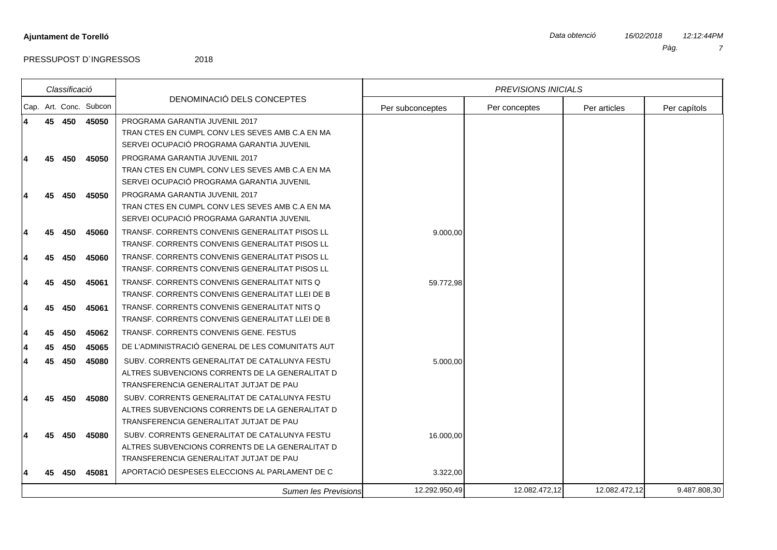|    | Classificació |                        |                                                  |                  | <b>PREVISIONS INICIALS</b> |               |              |
|----|---------------|------------------------|--------------------------------------------------|------------------|----------------------------|---------------|--------------|
|    |               | Cap. Art. Conc. Subcon | DENOMINACIÓ DELS CONCEPTES                       | Per subconceptes | Per conceptes              | Per articles  | Per capítols |
|    | 45 450        | 45050                  | PROGRAMA GARANTIA JUVENIL 2017                   |                  |                            |               |              |
|    |               |                        | TRAN CTES EN CUMPL CONVILES SEVES AMBIC.A EN MA  |                  |                            |               |              |
|    |               |                        | SERVEI OCUPACIÓ PROGRAMA GARANTIA JUVENIL        |                  |                            |               |              |
|    | 450           | 45050                  | PROGRAMA GARANTIA JUVENIL 2017                   |                  |                            |               |              |
|    |               |                        | TRAN CTES EN CUMPL CONV LES SEVES AMB C.A EN MA  |                  |                            |               |              |
|    |               |                        | SERVEI OCUPACIÓ PROGRAMA GARANTIA JUVENIL        |                  |                            |               |              |
| 45 | 450           | 45050                  | PROGRAMA GARANTIA JUVENIL 2017                   |                  |                            |               |              |
|    |               |                        | TRAN CTES EN CUMPL CONVILES SEVES AMBIC.A EN MA  |                  |                            |               |              |
|    |               |                        | SERVEI OCUPACIÓ PROGRAMA GARANTIA JUVENIL        |                  |                            |               |              |
|    | 450           | 45060                  | TRANSF. CORRENTS CONVENIS GENERALITAT PISOS LL   | 9.000,00         |                            |               |              |
|    |               |                        | TRANSF. CORRENTS CONVENIS GENERALITAT PISOS LL   |                  |                            |               |              |
| 45 | 450           | 45060                  | TRANSF. CORRENTS CONVENIS GENERALITAT PISOS LL   |                  |                            |               |              |
|    |               |                        | TRANSF. CORRENTS CONVENIS GENERALITAT PISOS LL   |                  |                            |               |              |
| 45 | 450           | 45061                  | TRANSF, CORRENTS CONVENIS GENERALITAT NITS Q     | 59.772,98        |                            |               |              |
|    |               |                        | TRANSF. CORRENTS CONVENIS GENERALITAT LLEI DE B  |                  |                            |               |              |
| 45 | 450           | 45061                  | TRANSF, CORRENTS CONVENIS GENERALITAT NITS Q     |                  |                            |               |              |
|    |               |                        | TRANSF. CORRENTS CONVENIS GENERALITAT LLEI DE B  |                  |                            |               |              |
| 45 | 450           | 45062                  | TRANSF, CORRENTS CONVENIS GENE, FESTUS           |                  |                            |               |              |
| 45 | 450           | 45065                  | DE L'ADMINISTRACIÓ GENERAL DE LES COMUNITATS AUT |                  |                            |               |              |
| 45 | 450           | 45080                  | SUBV. CORRENTS GENERALITAT DE CATALUNYA FESTU    | 5.000,00         |                            |               |              |
|    |               |                        | ALTRES SUBVENCIONS CORRENTS DE LA GENERALITAT D  |                  |                            |               |              |
|    |               |                        | TRANSFERENCIA GENERALITAT JUTJAT DE PAU          |                  |                            |               |              |
|    | 450           | 45080                  | SUBV. CORRENTS GENERALITAT DE CATALUNYA FESTU    |                  |                            |               |              |
|    |               |                        | ALTRES SUBVENCIONS CORRENTS DE LA GENERALITAT D  |                  |                            |               |              |
|    |               |                        | TRANSFERENCIA GENERALITAT JUTJAT DE PAU          |                  |                            |               |              |
|    | 450           | 45080                  | SUBV. CORRENTS GENERALITAT DE CATALUNYA FESTU    | 16.000,00        |                            |               |              |
|    |               |                        | ALTRES SUBVENCIONS CORRENTS DE LA GENERALITAT D  |                  |                            |               |              |
|    |               |                        | TRANSFERENCIA GENERALITAT JUTJAT DE PAU          |                  |                            |               |              |
|    | 450           | 45081                  | APORTACIÓ DESPESES ELECCIONS AL PARLAMENT DE C   | 3.322,00         |                            |               |              |
|    |               |                        | Sumen les Previsions                             | 12.292.950,49    | 12.082.472,12              | 12.082.472,12 | 9.487.808,30 |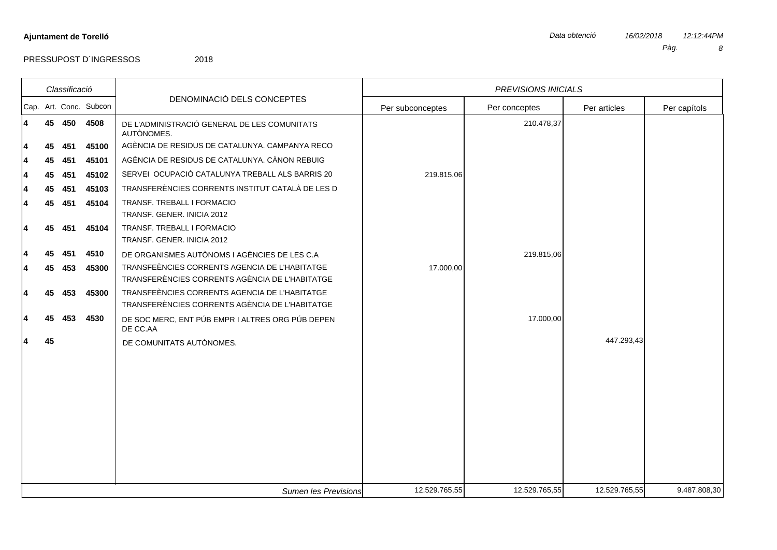| Classificació |    |     |                        | <b>PREVISIONS INICIALS</b>                                                                      |                  |               |               |              |
|---------------|----|-----|------------------------|-------------------------------------------------------------------------------------------------|------------------|---------------|---------------|--------------|
|               |    |     | Cap. Art. Conc. Subcon | DENOMINACIÓ DELS CONCEPTES                                                                      | Per subconceptes | Per conceptes | Per articles  | Per capítols |
| 4             | 45 | 450 | 4508                   | DE L'ADMINISTRACIÓ GENERAL DE LES COMUNITATS<br>AUTÒNOMES.                                      |                  | 210.478,37    |               |              |
| 4             | 45 | 451 | 45100                  | AGÈNCIA DE RESIDUS DE CATALUNYA. CAMPANYA RECO                                                  |                  |               |               |              |
| 4             | 45 | 451 | 45101                  | AGÈNCIA DE RESIDUS DE CATALUNYA. CÀNON REBUIG                                                   |                  |               |               |              |
| 4             | 45 | 451 | 45102                  | SERVEI OCUPACIÓ CATALUNYA TREBALL ALS BARRIS 20                                                 | 219.815,06       |               |               |              |
| 4             | 45 | 451 | 45103                  | TRANSFERÈNCIES CORRENTS INSTITUT CATALÀ DE LES D                                                |                  |               |               |              |
| 4             | 45 | 451 | 45104                  | TRANSF. TREBALL I FORMACIO<br>TRANSF. GENER. INICIA 2012                                        |                  |               |               |              |
| 4             | 45 | 451 | 45104                  | TRANSF. TREBALL I FORMACIO<br>TRANSF. GENER. INICIA 2012                                        |                  |               |               |              |
| 4             | 45 | 451 | 4510                   | DE ORGANISMES AUTÒNOMS I AGÈNCIES DE LES C.A                                                    |                  | 219.815,06    |               |              |
| 4             | 45 | 453 | 45300                  | TRANSFEÈNCIES CORRENTS AGENCIA DE L'HABITATGE<br>TRANSFERÈNCIES CORRENTS AGÈNCIA DE L'HABITATGE | 17.000,00        |               |               |              |
| 4             | 45 | 453 | 45300                  | TRANSFEÈNCIES CORRENTS AGENCIA DE L'HABITATGE<br>TRANSFERÈNCIES CORRENTS AGÈNCIA DE L'HABITATGE |                  |               |               |              |
| 4             | 45 | 453 | 4530                   | DE SOC MERC, ENT PÚB EMPR I ALTRES ORG PÚB DEPEN<br>DE CC.AA                                    |                  | 17.000,00     |               |              |
| 4             | 45 |     |                        | DE COMUNITATS AUTÒNOMES.                                                                        |                  |               | 447.293,43    |              |
|               |    |     |                        |                                                                                                 |                  |               |               |              |
|               |    |     |                        |                                                                                                 |                  |               |               |              |
|               |    |     |                        |                                                                                                 |                  |               |               |              |
|               |    |     |                        |                                                                                                 |                  |               |               |              |
|               |    |     |                        |                                                                                                 |                  |               |               |              |
|               |    |     |                        | Sumen les Previsions                                                                            | 12.529.765,55    | 12.529.765,55 | 12.529.765,55 | 9.487.808,30 |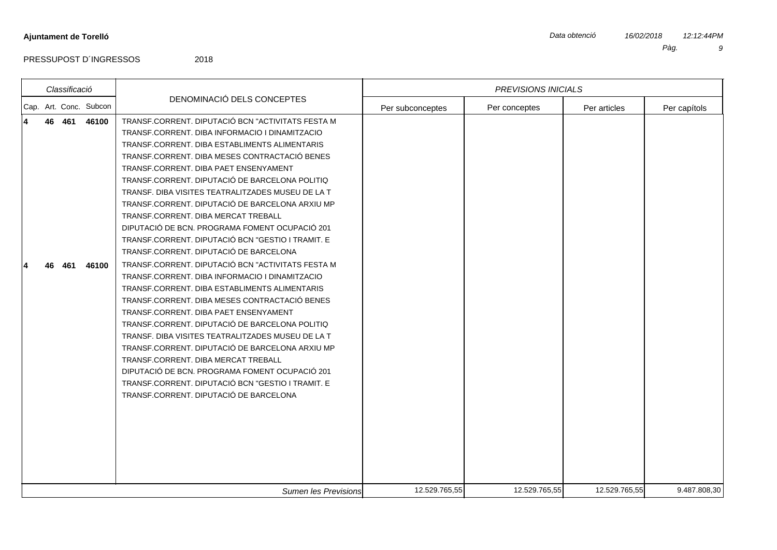|  | Classificació |                        |                                                                                                                                                                                                                                                                                                                                                                                                                                                                                                                                                                                                                                                                                                                                                                                                                                                                                                                                                                                                                                                                                                                                                                                                      | <b>PREVISIONS INICIALS</b> |               |               |              |  |
|--|---------------|------------------------|------------------------------------------------------------------------------------------------------------------------------------------------------------------------------------------------------------------------------------------------------------------------------------------------------------------------------------------------------------------------------------------------------------------------------------------------------------------------------------------------------------------------------------------------------------------------------------------------------------------------------------------------------------------------------------------------------------------------------------------------------------------------------------------------------------------------------------------------------------------------------------------------------------------------------------------------------------------------------------------------------------------------------------------------------------------------------------------------------------------------------------------------------------------------------------------------------|----------------------------|---------------|---------------|--------------|--|
|  |               | Cap. Art. Conc. Subcon | DENOMINACIÓ DELS CONCEPTES                                                                                                                                                                                                                                                                                                                                                                                                                                                                                                                                                                                                                                                                                                                                                                                                                                                                                                                                                                                                                                                                                                                                                                           | Per subconceptes           | Per conceptes | Per articles  | Per capítols |  |
|  | 46 461<br>461 | 46100<br>46100         | TRANSF.CORRENT. DIPUTACIÓ BCN "ACTIVITATS FESTA M<br>TRANSF.CORRENT. DIBA INFORMACIO I DINAMITZACIO<br>TRANSF.CORRENT. DIBA ESTABLIMENTS ALIMENTARIS<br>TRANSF.CORRENT. DIBA MESES CONTRACTACIÓ BENES<br>TRANSF.CORRENT. DIBA PAET ENSENYAMENT<br>TRANSF.CORRENT. DIPUTACIÓ DE BARCELONA POLITIQ<br>TRANSF. DIBA VISITES TEATRALITZADES MUSEU DE LA T<br>TRANSF.CORRENT. DIPUTACIÓ DE BARCELONA ARXIU MP<br>TRANSF.CORRENT. DIBA MERCAT TREBALL<br>DIPUTACIÓ DE BCN. PROGRAMA FOMENT OCUPACIÓ 201<br>TRANSF.CORRENT. DIPUTACIÓ BCN "GESTIO I TRAMIT. E<br>TRANSF.CORRENT. DIPUTACIÓ DE BARCELONA<br>TRANSF.CORRENT. DIPUTACIÓ BCN "ACTIVITATS FESTA M<br>TRANSF.CORRENT, DIBA INFORMACIO I DINAMITZACIO<br>TRANSF.CORRENT. DIBA ESTABLIMENTS ALIMENTARIS<br>TRANSF.CORRENT. DIBA MESES CONTRACTACIÓ BENES<br>TRANSF.CORRENT. DIBA PAET ENSENYAMENT<br>TRANSF.CORRENT. DIPUTACIÓ DE BARCELONA POLITIQ<br>TRANSF. DIBA VISITES TEATRALITZADES MUSEU DE LA T<br>TRANSF.CORRENT. DIPUTACIÓ DE BARCELONA ARXIU MP<br>TRANSF.CORRENT, DIBA MERCAT TREBALL<br>DIPUTACIÓ DE BCN. PROGRAMA FOMENT OCUPACIÓ 201<br>TRANSF.CORRENT. DIPUTACIÓ BCN "GESTIO I TRAMIT. E<br>TRANSF.CORRENT. DIPUTACIÓ DE BARCELONA |                            |               |               |              |  |
|  |               |                        | Sumen les Previsions                                                                                                                                                                                                                                                                                                                                                                                                                                                                                                                                                                                                                                                                                                                                                                                                                                                                                                                                                                                                                                                                                                                                                                                 | 12.529.765,55              | 12.529.765,55 | 12.529.765,55 | 9.487.808,30 |  |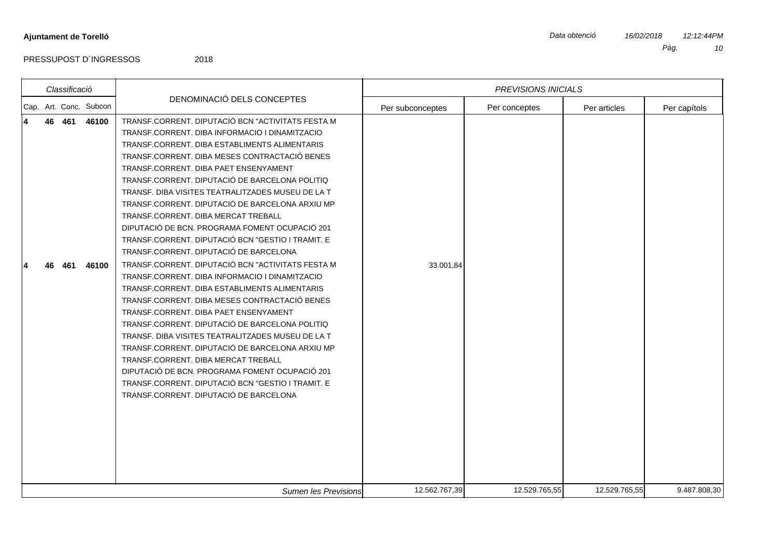*Classificació*

*PREVISIONS INICIALS*

*Sumen les Previsions* 12.562.767,39 12.529.765,55 12.529.765,55 9.487.808,30

PRESSUPOST D'INGRESSOS 2018

DENOMINACIÓ DELS CONCEPTES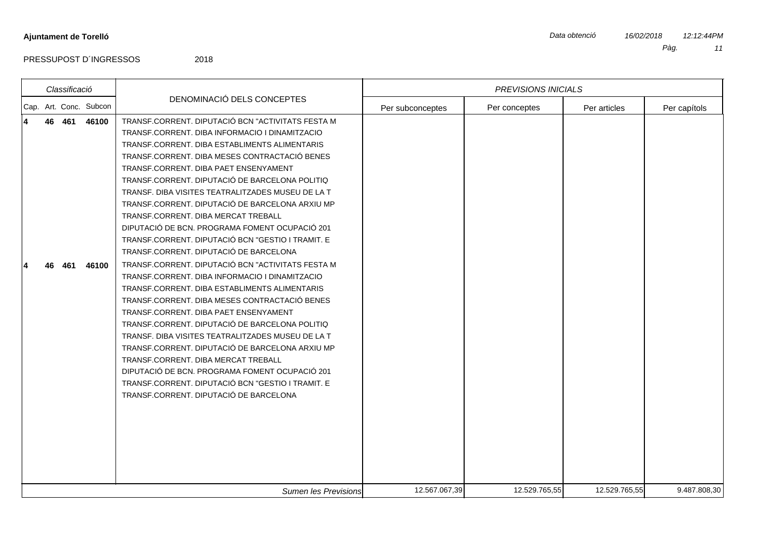| <b>PREVISIONS INICIALS</b> |
|----------------------------|

|  | Classificació |                        |                                                                                                                                                                                                                                                                                                                                                                                                                                                                                                                                                                                                                                                                                                                                                                                                                                                                                                                                                                                                                                                                                                                                                                                                      |                  | <b>PREVISIONS INICIALS</b> |               |              |
|--|---------------|------------------------|------------------------------------------------------------------------------------------------------------------------------------------------------------------------------------------------------------------------------------------------------------------------------------------------------------------------------------------------------------------------------------------------------------------------------------------------------------------------------------------------------------------------------------------------------------------------------------------------------------------------------------------------------------------------------------------------------------------------------------------------------------------------------------------------------------------------------------------------------------------------------------------------------------------------------------------------------------------------------------------------------------------------------------------------------------------------------------------------------------------------------------------------------------------------------------------------------|------------------|----------------------------|---------------|--------------|
|  |               | Cap. Art. Conc. Subcon | DENOMINACIÓ DELS CONCEPTES                                                                                                                                                                                                                                                                                                                                                                                                                                                                                                                                                                                                                                                                                                                                                                                                                                                                                                                                                                                                                                                                                                                                                                           | Per subconceptes | Per conceptes              | Per articles  | Per capítols |
|  | 46 461<br>461 | 46100<br>46100         | TRANSF.CORRENT. DIPUTACIÓ BCN "ACTIVITATS FESTA M<br>TRANSF.CORRENT. DIBA INFORMACIO I DINAMITZACIO<br>TRANSF.CORRENT. DIBA ESTABLIMENTS ALIMENTARIS<br>TRANSF.CORRENT. DIBA MESES CONTRACTACIÓ BENES<br>TRANSF.CORRENT. DIBA PAET ENSENYAMENT<br>TRANSF.CORRENT. DIPUTACIÓ DE BARCELONA POLITIQ<br>TRANSF. DIBA VISITES TEATRALITZADES MUSEU DE LA T<br>TRANSF.CORRENT. DIPUTACIÓ DE BARCELONA ARXIU MP<br>TRANSF.CORRENT, DIBA MERCAT TREBALL<br>DIPUTACIÓ DE BCN. PROGRAMA FOMENT OCUPACIÓ 201<br>TRANSF.CORRENT. DIPUTACIÓ BCN "GESTIO I TRAMIT. E<br>TRANSF.CORRENT. DIPUTACIÓ DE BARCELONA<br>TRANSF.CORRENT. DIPUTACIÓ BCN "ACTIVITATS FESTA M<br>TRANSF.CORRENT. DIBA INFORMACIO I DINAMITZACIO<br>TRANSF.CORRENT, DIBA ESTABLIMENTS ALIMENTARIS<br>TRANSF.CORRENT. DIBA MESES CONTRACTACIÓ BENES<br>TRANSF.CORRENT. DIBA PAET ENSENYAMENT<br>TRANSF.CORRENT. DIPUTACIÓ DE BARCELONA POLITIQ<br>TRANSF. DIBA VISITES TEATRALITZADES MUSEU DE LA T<br>TRANSF.CORRENT. DIPUTACIÓ DE BARCELONA ARXIU MP<br>TRANSF.CORRENT. DIBA MERCAT TREBALL<br>DIPUTACIÓ DE BCN. PROGRAMA FOMENT OCUPACIÓ 201<br>TRANSF.CORRENT. DIPUTACIÓ BCN "GESTIO I TRAMIT. E<br>TRANSF.CORRENT. DIPUTACIÓ DE BARCELONA |                  |                            |               |              |
|  |               |                        | Sumen les Previsions                                                                                                                                                                                                                                                                                                                                                                                                                                                                                                                                                                                                                                                                                                                                                                                                                                                                                                                                                                                                                                                                                                                                                                                 | 12.567.067,39    | 12.529.765,55              | 12.529.765,55 | 9.487.808,30 |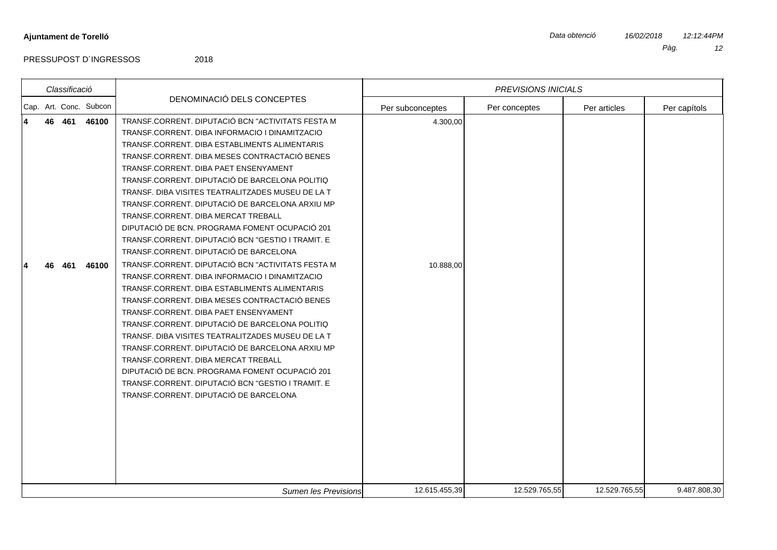|   | Classificació |                        |                                                                                                                                                                                                                                                                                                                                                                                                                                                                                                                                                                                                                                                                                                                                                                                                                                                                                                                                                                                                                                                                                                                                                                                                      |                       | <b>PREVISIONS INICIALS</b> |               |              |
|---|---------------|------------------------|------------------------------------------------------------------------------------------------------------------------------------------------------------------------------------------------------------------------------------------------------------------------------------------------------------------------------------------------------------------------------------------------------------------------------------------------------------------------------------------------------------------------------------------------------------------------------------------------------------------------------------------------------------------------------------------------------------------------------------------------------------------------------------------------------------------------------------------------------------------------------------------------------------------------------------------------------------------------------------------------------------------------------------------------------------------------------------------------------------------------------------------------------------------------------------------------------|-----------------------|----------------------------|---------------|--------------|
|   |               | Cap. Art. Conc. Subcon | DENOMINACIÓ DELS CONCEPTES                                                                                                                                                                                                                                                                                                                                                                                                                                                                                                                                                                                                                                                                                                                                                                                                                                                                                                                                                                                                                                                                                                                                                                           | Per subconceptes      | Per conceptes              | Per articles  | Per capítols |
| 4 | 46 461<br>461 | 46100<br>46100         | TRANSF.CORRENT. DIPUTACIÓ BCN "ACTIVITATS FESTA M<br>TRANSF.CORRENT. DIBA INFORMACIO I DINAMITZACIO<br>TRANSF.CORRENT, DIBA ESTABLIMENTS ALIMENTARIS<br>TRANSF.CORRENT. DIBA MESES CONTRACTACIÓ BENES<br>TRANSF.CORRENT. DIBA PAET ENSENYAMENT<br>TRANSF.CORRENT. DIPUTACIÓ DE BARCELONA POLITIQ<br>TRANSF. DIBA VISITES TEATRALITZADES MUSEU DE LA T<br>TRANSF.CORRENT. DIPUTACIÓ DE BARCELONA ARXIU MP<br>TRANSF.CORRENT. DIBA MERCAT TREBALL<br>DIPUTACIÓ DE BCN. PROGRAMA FOMENT OCUPACIÓ 201<br>TRANSF.CORRENT. DIPUTACIÓ BCN "GESTIO I TRAMIT. E<br>TRANSF.CORRENT. DIPUTACIÓ DE BARCELONA<br>TRANSF.CORRENT. DIPUTACIÓ BCN "ACTIVITATS FESTA M<br>TRANSF.CORRENT. DIBA INFORMACIO I DINAMITZACIO<br>TRANSF.CORRENT. DIBA ESTABLIMENTS ALIMENTARIS<br>TRANSF.CORRENT. DIBA MESES CONTRACTACIÓ BENES<br>TRANSF.CORRENT. DIBA PAET ENSENYAMENT<br>TRANSF.CORRENT. DIPUTACIÓ DE BARCELONA POLITIQ<br>TRANSF. DIBA VISITES TEATRALITZADES MUSEU DE LA T<br>TRANSF.CORRENT. DIPUTACIÓ DE BARCELONA ARXIU MP<br>TRANSF.CORRENT. DIBA MERCAT TREBALL<br>DIPUTACIÓ DE BCN. PROGRAMA FOMENT OCUPACIÓ 201<br>TRANSF.CORRENT. DIPUTACIÓ BCN "GESTIO I TRAMIT. E<br>TRANSF.CORRENT. DIPUTACIÓ DE BARCELONA | 4.300,00<br>10.888,00 |                            |               |              |
|   |               |                        | Sumen les Previsions                                                                                                                                                                                                                                                                                                                                                                                                                                                                                                                                                                                                                                                                                                                                                                                                                                                                                                                                                                                                                                                                                                                                                                                 | 12.615.455,39         | 12.529.765,55              | 12.529.765,55 | 9.487.808,30 |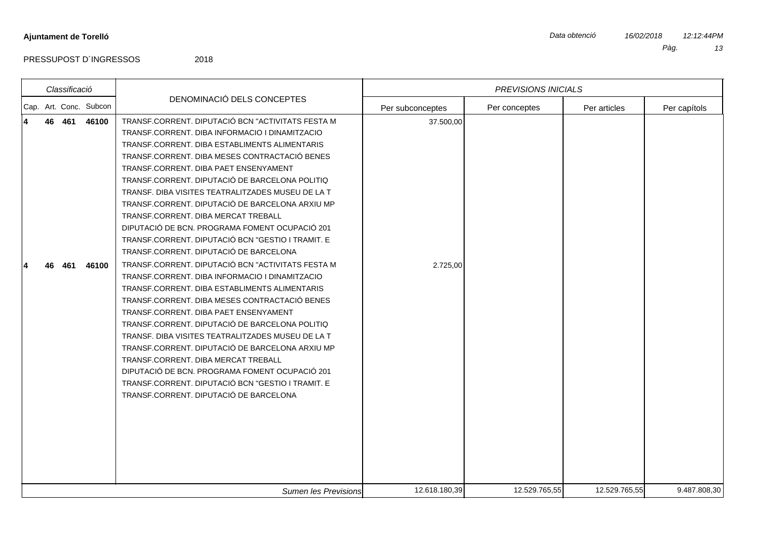|                            | Pàg. | 13 |
|----------------------------|------|----|
|                            |      |    |
| <b>PREVISIONS INICIALS</b> |      |    |

| Cap. Art. Conc. Subcon<br>Per subconceptes<br>Per conceptes<br>Per articles<br>TRANSF.CORRENT. DIPUTACIÓ BCN "ACTIVITATS FESTA M<br>46 461<br>46100<br>37.500,00<br>TRANSF.CORRENT. DIBA INFORMACIO I DINAMITZACIO<br>TRANSF.CORRENT. DIBA ESTABLIMENTS ALIMENTARIS<br>TRANSF.CORRENT. DIBA MESES CONTRACTACIÓ BENES<br>TRANSF.CORRENT. DIBA PAET ENSENYAMENT<br>TRANSF.CORRENT. DIPUTACIÓ DE BARCELONA POLITIQ<br>TRANSF. DIBA VISITES TEATRALITZADES MUSEU DE LA T<br>TRANSF.CORRENT. DIPUTACIÓ DE BARCELONA ARXIU MP<br>TRANSF.CORRENT. DIBA MERCAT TREBALL<br>DIPUTACIÓ DE BCN. PROGRAMA FOMENT OCUPACIÓ 201<br>TRANSF.CORRENT. DIPUTACIÓ BCN "GESTIO I TRAMIT. E<br>TRANSF.CORRENT. DIPUTACIÓ DE BARCELONA<br>TRANSF.CORRENT. DIPUTACIÓ BCN "ACTIVITATS FESTA M<br>46100<br>2.725,00<br>461<br>TRANSF.CORRENT. DIBA INFORMACIO I DINAMITZACIO<br>TRANSF.CORRENT. DIBA ESTABLIMENTS ALIMENTARIS<br>TRANSF.CORRENT. DIBA MESES CONTRACTACIÓ BENES<br>TRANSF.CORRENT. DIBA PAET ENSENYAMENT<br>TRANSF.CORRENT. DIPUTACIÓ DE BARCELONA POLITIQ<br>TRANSF. DIBA VISITES TEATRALITZADES MUSEU DE LA T<br>TRANSF.CORRENT. DIPUTACIÓ DE BARCELONA ARXIU MP<br>TRANSF.CORRENT. DIBA MERCAT TREBALL<br>DIPUTACIÓ DE BCN. PROGRAMA FOMENT OCUPACIÓ 201<br>TRANSF.CORRENT. DIPUTACIÓ BCN "GESTIO I TRAMIT. E<br>TRANSF.CORRENT. DIPUTACIÓ DE BARCELONA |  | Classificació |  |                            | <b>PREVISIONS INICIALS</b> |              |
|-------------------------------------------------------------------------------------------------------------------------------------------------------------------------------------------------------------------------------------------------------------------------------------------------------------------------------------------------------------------------------------------------------------------------------------------------------------------------------------------------------------------------------------------------------------------------------------------------------------------------------------------------------------------------------------------------------------------------------------------------------------------------------------------------------------------------------------------------------------------------------------------------------------------------------------------------------------------------------------------------------------------------------------------------------------------------------------------------------------------------------------------------------------------------------------------------------------------------------------------------------------------------------------------------------------------------------------------------|--|---------------|--|----------------------------|----------------------------|--------------|
|                                                                                                                                                                                                                                                                                                                                                                                                                                                                                                                                                                                                                                                                                                                                                                                                                                                                                                                                                                                                                                                                                                                                                                                                                                                                                                                                                 |  |               |  | DENOMINACIÓ DELS CONCEPTES |                            | Per capítols |
|                                                                                                                                                                                                                                                                                                                                                                                                                                                                                                                                                                                                                                                                                                                                                                                                                                                                                                                                                                                                                                                                                                                                                                                                                                                                                                                                                 |  |               |  |                            |                            |              |
|                                                                                                                                                                                                                                                                                                                                                                                                                                                                                                                                                                                                                                                                                                                                                                                                                                                                                                                                                                                                                                                                                                                                                                                                                                                                                                                                                 |  |               |  |                            |                            |              |
| 12.618.180,39<br>12.529.765,55<br>12.529.765,55<br>Sumen les Previsions                                                                                                                                                                                                                                                                                                                                                                                                                                                                                                                                                                                                                                                                                                                                                                                                                                                                                                                                                                                                                                                                                                                                                                                                                                                                         |  |               |  |                            |                            | 9.487.808,30 |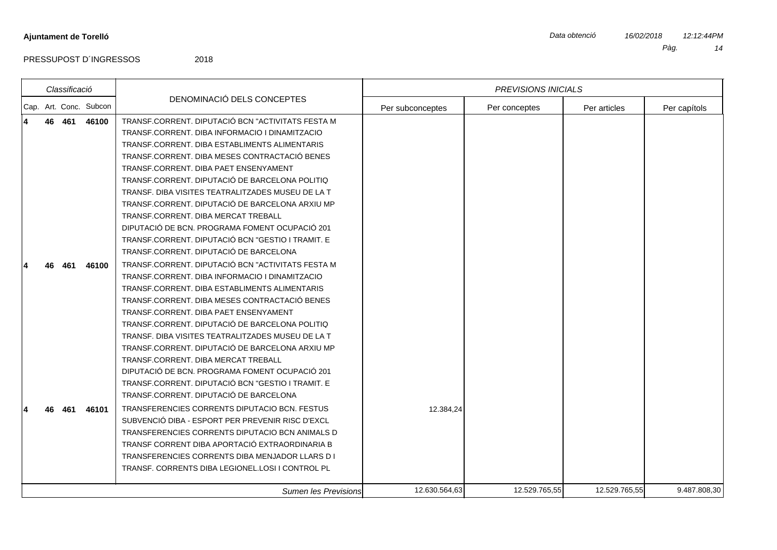|   | Classificació |                        |                                                                                                                                                                                                                                                                                                                                                                                                                                                                                                                                                                                                  |                  | <b>PREVISIONS INICIALS</b> |               |              |
|---|---------------|------------------------|--------------------------------------------------------------------------------------------------------------------------------------------------------------------------------------------------------------------------------------------------------------------------------------------------------------------------------------------------------------------------------------------------------------------------------------------------------------------------------------------------------------------------------------------------------------------------------------------------|------------------|----------------------------|---------------|--------------|
|   |               | Cap. Art. Conc. Subcon | DENOMINACIÓ DELS CONCEPTES                                                                                                                                                                                                                                                                                                                                                                                                                                                                                                                                                                       | Per subconceptes | Per conceptes              | Per articles  | Per capítols |
| 4 | 46 461        | 46100                  | TRANSF.CORRENT. DIPUTACIÓ BCN "ACTIVITATS FESTA M<br>TRANSF.CORRENT, DIBA INFORMACIO I DINAMITZACIO<br>TRANSF.CORRENT, DIBA ESTABLIMENTS ALIMENTARIS<br>TRANSF.CORRENT, DIBA MESES CONTRACTACIÓ BENES<br>TRANSF.CORRENT, DIBA PAET ENSENYAMENT<br>TRANSF.CORRENT. DIPUTACIÓ DE BARCELONA POLITIQ<br>TRANSF. DIBA VISITES TEATRALITZADES MUSEU DE LA T<br>TRANSF.CORRENT, DIPUTACIÓ DE BARCELONA ARXIU MP<br>TRANSF.CORRENT. DIBA MERCAT TREBALL<br>DIPUTACIÓ DE BCN. PROGRAMA FOMENT OCUPACIÓ 201<br>TRANSF.CORRENT. DIPUTACIÓ BCN "GESTIO I TRAMIT. E<br>TRANSF.CORRENT. DIPUTACIÓ DE BARCELONA |                  |                            |               |              |
|   | 461           | 46100                  | TRANSF.CORRENT. DIPUTACIÓ BCN "ACTIVITATS FESTA M<br>TRANSF.CORRENT, DIBA INFORMACIO I DINAMITZACIO<br>TRANSF.CORRENT. DIBA ESTABLIMENTS ALIMENTARIS<br>TRANSF.CORRENT, DIBA MESES CONTRACTACIÓ BENES<br>TRANSF.CORRENT, DIBA PAET ENSENYAMENT<br>TRANSF.CORRENT, DIPUTACIÓ DE BARCELONA POLITIQ<br>TRANSF. DIBA VISITES TEATRALITZADES MUSEU DE LA T<br>TRANSF.CORRENT, DIPUTACIÓ DE BARCELONA ARXIU MP<br>TRANSF.CORRENT, DIBA MERCAT TREBALL<br>DIPUTACIÓ DE BCN. PROGRAMA FOMENT OCUPACIÓ 201<br>TRANSF.CORRENT. DIPUTACIÓ BCN "GESTIO I TRAMIT. E                                           |                  |                            |               |              |
|   | 461           | 46101                  | TRANSF.CORRENT. DIPUTACIÓ DE BARCELONA<br>TRANSFERENCIES CORRENTS DIPUTACIO BCN. FESTUS<br>SUBVENCIÓ DIBA - ESPORT PER PREVENIR RISC D'EXCL<br>TRANSFERENCIES CORRENTS DIPUTACIO BCN ANIMALS D<br>TRANSF CORRENT DIBA APORTACIÓ EXTRAORDINARIA B<br>TRANSFERENCIES CORRENTS DIBA MENJADOR LLARS D I<br>TRANSF, CORRENTS DIBA LEGIONEL.LOSI I CONTROL PL                                                                                                                                                                                                                                          | 12.384,24        |                            |               |              |
|   |               |                        | Sumen les Previsions                                                                                                                                                                                                                                                                                                                                                                                                                                                                                                                                                                             | 12.630.564,63    | 12.529.765,55              | 12.529.765,55 | 9.487.808,30 |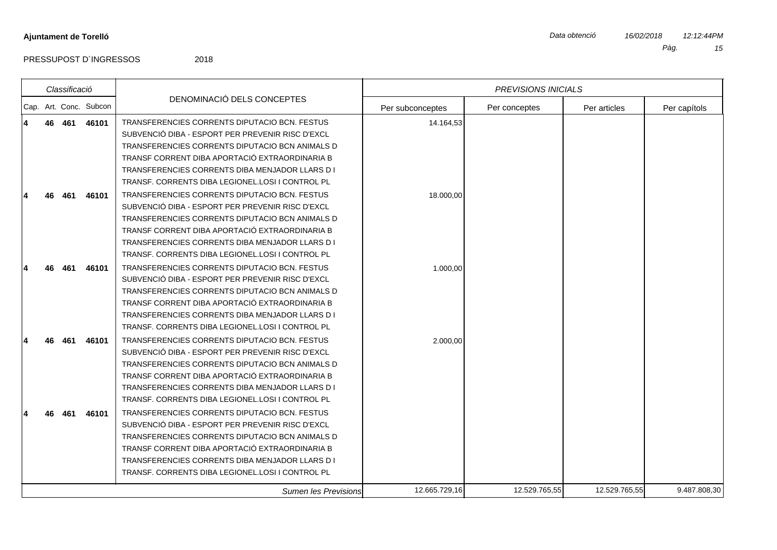|   |          | Classificació |                        |                                                                                                                                                                                                                                                                                                                                                                                                                                                                        |                        | <b>PREVISIONS INICIALS</b> |               |              |
|---|----------|---------------|------------------------|------------------------------------------------------------------------------------------------------------------------------------------------------------------------------------------------------------------------------------------------------------------------------------------------------------------------------------------------------------------------------------------------------------------------------------------------------------------------|------------------------|----------------------------|---------------|--------------|
|   |          |               | Cap. Art. Conc. Subcon | DENOMINACIÓ DELS CONCEPTES                                                                                                                                                                                                                                                                                                                                                                                                                                             | Per subconceptes       | Per conceptes              | Per articles  | Per capítols |
| 4 | 46<br>46 | 461<br>461    | 46101<br>46101         | TRANSFERENCIES CORRENTS DIPUTACIO BCN. FESTUS<br>SUBVENCIÓ DIBA - ESPORT PER PREVENIR RISC D'EXCL<br>TRANSFERENCIES CORRENTS DIPUTACIO BCN ANIMALS D<br>TRANSF CORRENT DIBA APORTACIÓ EXTRAORDINARIA B<br>TRANSFERENCIES CORRENTS DIBA MENJADOR LLARS D I<br>TRANSF, CORRENTS DIBA LEGIONEL, LOSI I CONTROL PL<br>TRANSFERENCIES CORRENTS DIPUTACIO BCN. FESTUS<br>SUBVENCIÓ DIBA - ESPORT PER PREVENIR RISC D'EXCL<br>TRANSFERENCIES CORRENTS DIPUTACIO BCN ANIMALS D | 14.164,53<br>18.000,00 |                            |               |              |
|   | 46       | 461           | 46101                  | TRANSF CORRENT DIBA APORTACIÓ EXTRAORDINARIA B<br>TRANSFERENCIES CORRENTS DIBA MENJADOR LLARS D I<br>TRANSF. CORRENTS DIBA LEGIONEL.LOSI I CONTROL PL<br>TRANSFERENCIES CORRENTS DIPUTACIO BCN. FESTUS<br>SUBVENCIÓ DIBA - ESPORT PER PREVENIR RISC D'EXCL<br>TRANSFERENCIES CORRENTS DIPUTACIO BCN ANIMALS D<br>TRANSF CORRENT DIBA APORTACIÓ EXTRAORDINARIA B<br>TRANSFERENCIES CORRENTS DIBA MENJADOR LLARS D I<br>TRANSF. CORRENTS DIBA LEGIONEL.LOSI I CONTROL PL | 1.000,00               |                            |               |              |
|   |          | 461           | 46101                  | TRANSFERENCIES CORRENTS DIPUTACIO BCN. FESTUS<br>SUBVENCIÓ DIBA - ESPORT PER PREVENIR RISC D'EXCL<br>TRANSFERENCIES CORRENTS DIPUTACIO BCN ANIMALS D<br>TRANSF CORRENT DIBA APORTACIÓ EXTRAORDINARIA B<br>TRANSFERENCIES CORRENTS DIBA MENJADOR LLARS D I<br>TRANSF. CORRENTS DIBA LEGIONEL.LOSI I CONTROL PL                                                                                                                                                          | 2.000,00               |                            |               |              |
|   |          | 461           | 46101                  | TRANSFERENCIES CORRENTS DIPUTACIO BCN. FESTUS<br>SUBVENCIÓ DIBA - ESPORT PER PREVENIR RISC D'EXCL<br>TRANSFERENCIES CORRENTS DIPUTACIO BCN ANIMALS D<br>TRANSF CORRENT DIBA APORTACIÓ EXTRAORDINARIA B<br>TRANSFERENCIES CORRENTS DIBA MENJADOR LLARS D I<br>TRANSF. CORRENTS DIBA LEGIONEL.LOSI I CONTROL PL                                                                                                                                                          |                        |                            |               |              |
|   |          |               |                        | Sumen les Previsions                                                                                                                                                                                                                                                                                                                                                                                                                                                   | 12.665.729,16          | 12.529.765,55              | 12.529.765,55 | 9.487.808,30 |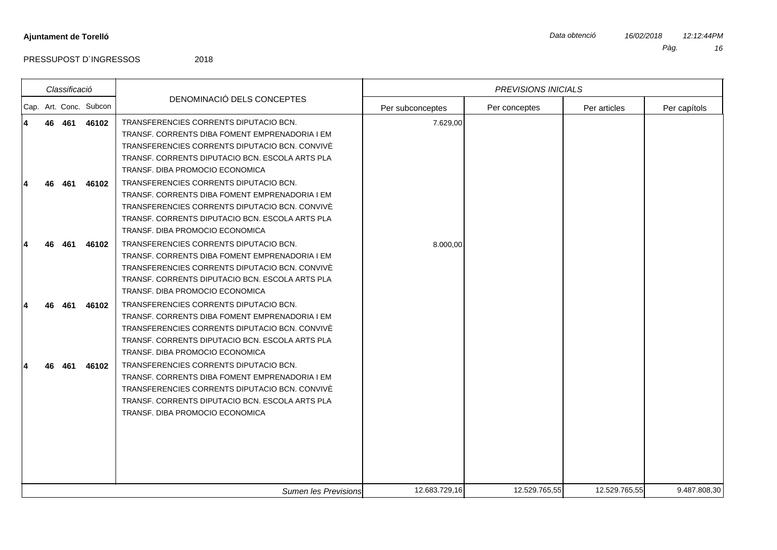|  | Classificació |                        |                                                                                                                                                                                                                                  |                  | <b>PREVISIONS INICIALS</b> |               |              |
|--|---------------|------------------------|----------------------------------------------------------------------------------------------------------------------------------------------------------------------------------------------------------------------------------|------------------|----------------------------|---------------|--------------|
|  |               | Cap. Art. Conc. Subcon | DENOMINACIÓ DELS CONCEPTES                                                                                                                                                                                                       | Per subconceptes | Per conceptes              | Per articles  | Per capítols |
|  | 46 461        | 46102                  | TRANSFERENCIES CORRENTS DIPUTACIO BCN.<br>TRANSF, CORRENTS DIBA FOMENT EMPRENADORIA I EM<br>TRANSFERENCIES CORRENTS DIPUTACIO BCN. CONVIVÈ<br>TRANSF. CORRENTS DIPUTACIO BCN. ESCOLA ARTS PLA<br>TRANSF. DIBA PROMOCIO ECONOMICA | 7.629,00         |                            |               |              |
|  | 461           | 46102                  | TRANSFERENCIES CORRENTS DIPUTACIO BCN.<br>TRANSF. CORRENTS DIBA FOMENT EMPRENADORIA I EM<br>TRANSFERENCIES CORRENTS DIPUTACIO BCN. CONVIVÈ<br>TRANSF. CORRENTS DIPUTACIO BCN. ESCOLA ARTS PLA<br>TRANSF. DIBA PROMOCIO ECONOMICA |                  |                            |               |              |
|  | 461           | 46102                  | TRANSFERENCIES CORRENTS DIPUTACIO BCN.<br>TRANSF. CORRENTS DIBA FOMENT EMPRENADORIA I EM<br>TRANSFERENCIES CORRENTS DIPUTACIO BCN. CONVIVÈ<br>TRANSF, CORRENTS DIPUTACIO BCN, ESCOLA ARTS PLA<br>TRANSF. DIBA PROMOCIO ECONOMICA | 8.000,00         |                            |               |              |
|  | 461           | 46102                  | TRANSFERENCIES CORRENTS DIPUTACIO BCN.<br>TRANSF. CORRENTS DIBA FOMENT EMPRENADORIA I EM<br>TRANSFERENCIES CORRENTS DIPUTACIO BCN. CONVIVÈ<br>TRANSF. CORRENTS DIPUTACIO BCN. ESCOLA ARTS PLA<br>TRANSF. DIBA PROMOCIO ECONOMICA |                  |                            |               |              |
|  | 461           | 46102                  | TRANSFERENCIES CORRENTS DIPUTACIO BCN.<br>TRANSF. CORRENTS DIBA FOMENT EMPRENADORIA I EM<br>TRANSFERENCIES CORRENTS DIPUTACIO BCN. CONVIVÈ<br>TRANSF. CORRENTS DIPUTACIO BCN. ESCOLA ARTS PLA<br>TRANSF. DIBA PROMOCIO ECONOMICA |                  |                            |               |              |
|  |               |                        | Sumen les Previsions                                                                                                                                                                                                             | 12.683.729,16    | 12.529.765,55              | 12.529.765,55 | 9.487.808,30 |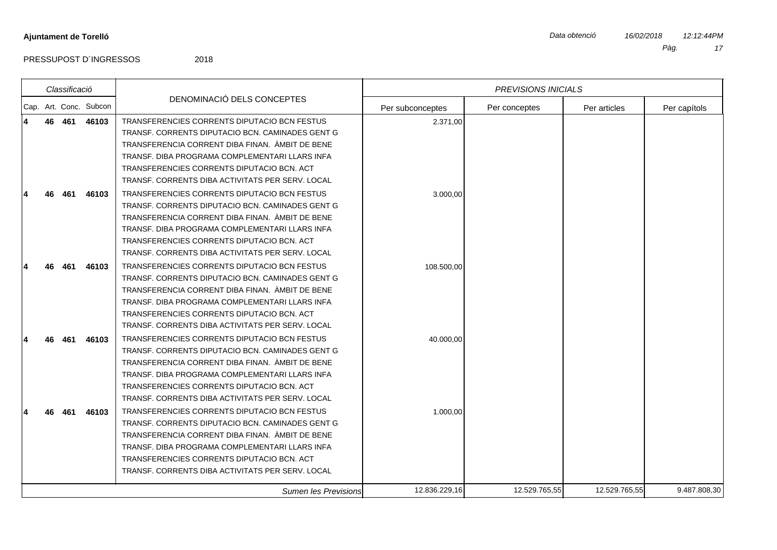|   |    | Classificació |                        |                                                  |                  | <b>PREVISIONS INICIALS</b> |               |              |
|---|----|---------------|------------------------|--------------------------------------------------|------------------|----------------------------|---------------|--------------|
|   |    |               | Cap. Art. Conc. Subcon | DENOMINACIÓ DELS CONCEPTES                       | Per subconceptes | Per conceptes              | Per articles  | Per capítols |
| 4 | 46 | 461           | 46103                  | TRANSFERENCIES CORRENTS DIPUTACIO BCN FESTUS     | 2.371,00         |                            |               |              |
|   |    |               |                        | TRANSF. CORRENTS DIPUTACIO BCN. CAMINADES GENT G |                  |                            |               |              |
|   |    |               |                        | TRANSFERENCIA CORRENT DIBA FINAN. ÀMBIT DE BENE  |                  |                            |               |              |
|   |    |               |                        | TRANSF. DIBA PROGRAMA COMPLEMENTARI LLARS INFA   |                  |                            |               |              |
|   |    |               |                        | TRANSFERENCIES CORRENTS DIPUTACIO BCN. ACT       |                  |                            |               |              |
|   |    |               |                        | TRANSF. CORRENTS DIBA ACTIVITATS PER SERV. LOCAL |                  |                            |               |              |
|   |    | 461           | 46103                  | TRANSFERENCIES CORRENTS DIPUTACIO BCN FESTUS     | 3.000,00         |                            |               |              |
|   |    |               |                        | TRANSF, CORRENTS DIPUTACIO BCN, CAMINADES GENT G |                  |                            |               |              |
|   |    |               |                        | TRANSFERENCIA CORRENT DIBA FINAN. ÀMBIT DE BENE  |                  |                            |               |              |
|   |    |               |                        | TRANSF. DIBA PROGRAMA COMPLEMENTARI LLARS INFA   |                  |                            |               |              |
|   |    |               |                        | TRANSFERENCIES CORRENTS DIPUTACIO BCN, ACT       |                  |                            |               |              |
|   |    |               |                        | TRANSF. CORRENTS DIBA ACTIVITATS PER SERV. LOCAL |                  |                            |               |              |
|   | 46 | 461           | 46103                  | TRANSFERENCIES CORRENTS DIPUTACIO BCN FESTUS     | 108.500,00       |                            |               |              |
|   |    |               |                        | TRANSF. CORRENTS DIPUTACIO BCN. CAMINADES GENT G |                  |                            |               |              |
|   |    |               |                        | TRANSFERENCIA CORRENT DIBA FINAN. AMBIT DE BENE  |                  |                            |               |              |
|   |    |               |                        | TRANSF. DIBA PROGRAMA COMPLEMENTARI LLARS INFA   |                  |                            |               |              |
|   |    |               |                        | TRANSFERENCIES CORRENTS DIPUTACIO BCN. ACT       |                  |                            |               |              |
|   |    |               |                        | TRANSF. CORRENTS DIBA ACTIVITATS PER SERV. LOCAL |                  |                            |               |              |
|   |    | 461           | 46103                  | TRANSFERENCIES CORRENTS DIPUTACIO BCN FESTUS     | 40.000.00        |                            |               |              |
|   |    |               |                        | TRANSF, CORRENTS DIPUTACIO BCN, CAMINADES GENT G |                  |                            |               |              |
|   |    |               |                        | TRANSFERENCIA CORRENT DIBA FINAN. AMBIT DE BENE  |                  |                            |               |              |
|   |    |               |                        | TRANSF. DIBA PROGRAMA COMPLEMENTARI LLARS INFA   |                  |                            |               |              |
|   |    |               |                        | TRANSFERENCIES CORRENTS DIPUTACIO BCN. ACT       |                  |                            |               |              |
|   |    |               |                        | TRANSF, CORRENTS DIBA ACTIVITATS PER SERV, LOCAL |                  |                            |               |              |
|   |    | 461           | 46103                  | TRANSFERENCIES CORRENTS DIPUTACIO BCN FESTUS     | 1.000,00         |                            |               |              |
|   |    |               |                        | TRANSF. CORRENTS DIPUTACIO BCN. CAMINADES GENT G |                  |                            |               |              |
|   |    |               |                        | TRANSFERENCIA CORRENT DIBA FINAN. AMBIT DE BENE  |                  |                            |               |              |
|   |    |               |                        | TRANSF. DIBA PROGRAMA COMPLEMENTARI LLARS INFA   |                  |                            |               |              |
|   |    |               |                        | TRANSFERENCIES CORRENTS DIPUTACIO BCN. ACT       |                  |                            |               |              |
|   |    |               |                        | TRANSF, CORRENTS DIBA ACTIVITATS PER SERV, LOCAL |                  |                            |               |              |
|   |    |               |                        | <b>Sumen les Previsions</b>                      | 12.836.229,16    | 12.529.765,55              | 12.529.765,55 | 9.487.808,30 |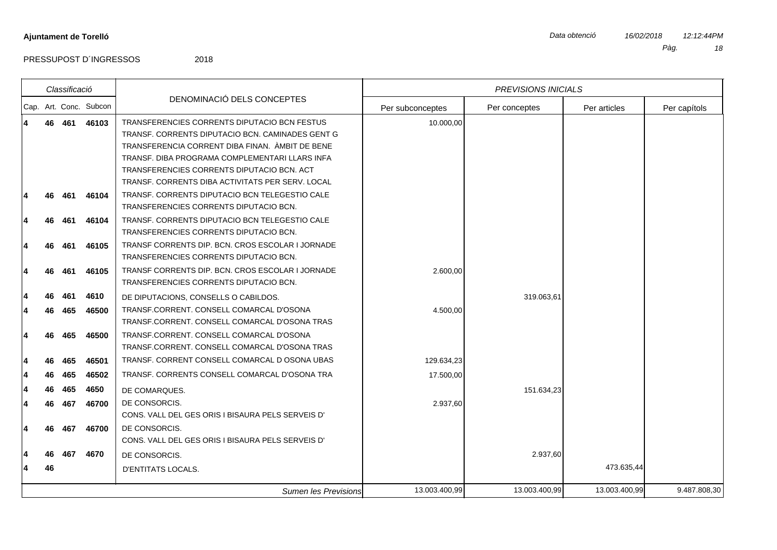|          |          | Classificació |                        |                                                                                                                                                                                                                                                                                                         |                  | <b>PREVISIONS INICIALS</b> |               |              |
|----------|----------|---------------|------------------------|---------------------------------------------------------------------------------------------------------------------------------------------------------------------------------------------------------------------------------------------------------------------------------------------------------|------------------|----------------------------|---------------|--------------|
|          |          |               | Cap. Art. Conc. Subcon | DENOMINACIÓ DELS CONCEPTES                                                                                                                                                                                                                                                                              | Per subconceptes | Per conceptes              | Per articles  | Per capítols |
| 14       | 46       | 461           | 46103                  | TRANSFERENCIES CORRENTS DIPUTACIO BCN FESTUS<br>TRANSF. CORRENTS DIPUTACIO BCN. CAMINADES GENT G<br>TRANSFERENCIA CORRENT DIBA FINAN. ÀMBIT DE BENE<br>TRANSF. DIBA PROGRAMA COMPLEMENTARI LLARS INFA<br>TRANSFERENCIES CORRENTS DIPUTACIO BCN. ACT<br>TRANSF. CORRENTS DIBA ACTIVITATS PER SERV. LOCAL | 10.000,00        |                            |               |              |
| 14       | 46       | 461           | 46104                  | TRANSF. CORRENTS DIPUTACIO BCN TELEGESTIO CALE<br>TRANSFERENCIES CORRENTS DIPUTACIO BCN.<br>TRANSF. CORRENTS DIPUTACIO BCN TELEGESTIO CALE                                                                                                                                                              |                  |                            |               |              |
| 14<br>14 | 46<br>46 | 461<br>461    | 46104<br>46105         | TRANSFERENCIES CORRENTS DIPUTACIO BCN.<br>TRANSF CORRENTS DIP. BCN. CROS ESCOLAR I JORNADE<br>TRANSFERENCIES CORRENTS DIPUTACIO BCN.                                                                                                                                                                    |                  |                            |               |              |
| 14       | 46       | 461           | 46105                  | TRANSF CORRENTS DIP. BCN. CROS ESCOLAR I JORNADE<br>TRANSFERENCIES CORRENTS DIPUTACIO BCN.                                                                                                                                                                                                              | 2.600,00         |                            |               |              |
| 14<br>14 | 46<br>46 | 461<br>465    | 4610<br>46500          | DE DIPUTACIONS, CONSELLS O CABILDOS.<br>TRANSF.CORRENT. CONSELL COMARCAL D'OSONA<br>TRANSF.CORRENT. CONSELL COMARCAL D'OSONA TRAS                                                                                                                                                                       | 4.500,00         | 319.063,61                 |               |              |
| 14<br>14 | 46<br>46 | 465<br>465    | 46500<br>46501         | TRANSF.CORRENT. CONSELL COMARCAL D'OSONA<br>TRANSF.CORRENT. CONSELL COMARCAL D'OSONA TRAS<br>TRANSF. CORRENT CONSELL COMARCAL D OSONA UBAS                                                                                                                                                              | 129.634,23       |                            |               |              |
| 14       | 46       | 465           | 46502                  | TRANSF. CORRENTS CONSELL COMARCAL D'OSONA TRA                                                                                                                                                                                                                                                           | 17.500,00        |                            |               |              |
| 14<br>14 | 46<br>46 | 465<br>467    | 4650<br>46700          | DE COMARQUES.<br>DE CONSORCIS.<br>CONS. VALL DEL GES ORIS I BISAURA PELS SERVEIS D'                                                                                                                                                                                                                     | 2.937,60         | 151.634,23                 |               |              |
| 14       | 46       | 467           | 46700                  | DE CONSORCIS.<br>CONS. VALL DEL GES ORIS I BISAURA PELS SERVEIS D'                                                                                                                                                                                                                                      |                  |                            |               |              |
| 14       | 46<br>46 | 467           | 4670                   | DE CONSORCIS.<br>D'ENTITATS LOCALS.                                                                                                                                                                                                                                                                     |                  | 2.937,60                   | 473.635,44    |              |
|          |          |               |                        | <b>Sumen les Previsions</b>                                                                                                                                                                                                                                                                             | 13.003.400,99    | 13.003.400,99              | 13.003.400,99 | 9.487.808,30 |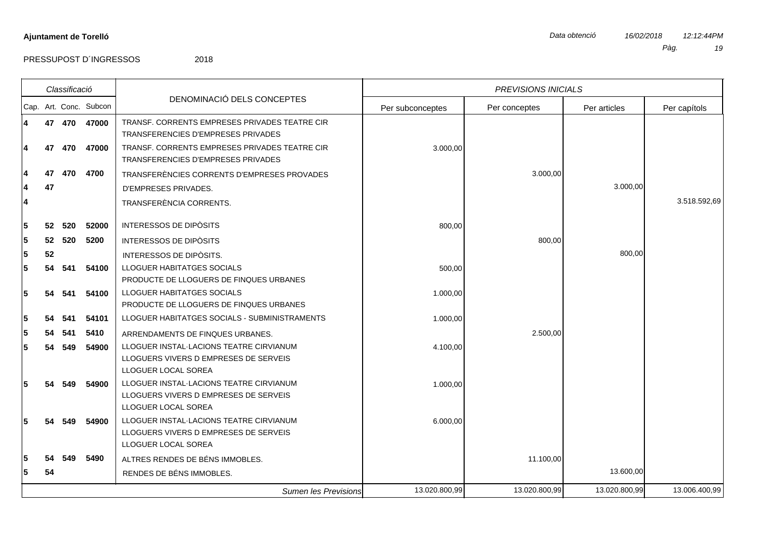|   |    | Classificació |                        |                                                                                                         |                  | <b>PREVISIONS INICIALS</b> |               |               |
|---|----|---------------|------------------------|---------------------------------------------------------------------------------------------------------|------------------|----------------------------|---------------|---------------|
|   |    |               | Cap. Art. Conc. Subcon | DENOMINACIÓ DELS CONCEPTES                                                                              | Per subconceptes | Per conceptes              | Per articles  | Per capítols  |
| 4 |    | 47 470        | 47000                  | TRANSF, CORRENTS EMPRESES PRIVADES TEATRE CIR<br>TRANSFERENCIES D'EMPRESES PRIVADES                     |                  |                            |               |               |
| 4 | 47 | 470           | 47000                  | TRANSF. CORRENTS EMPRESES PRIVADES TEATRE CIR<br>TRANSFERENCIES D'EMPRESES PRIVADES                     | 3.000,00         |                            |               |               |
|   | 47 | 470           | 4700                   | TRANSFERÈNCIES CORRENTS D'EMPRESES PROVADES                                                             |                  | 3.000,00                   |               |               |
|   | 47 |               |                        | <b>D'EMPRESES PRIVADES.</b>                                                                             |                  |                            | 3.000,00      |               |
| 4 |    |               |                        | TRANSFERÈNCIA CORRENTS.                                                                                 |                  |                            |               | 3.518.592,69  |
| 5 | 52 | 520           | 52000                  | <b>INTERESSOS DE DIPÒSITS</b>                                                                           | 800,00           |                            |               |               |
| 5 | 52 | 520           | 5200                   | <b>INTERESSOS DE DIPÒSITS</b>                                                                           |                  | 800,00                     |               |               |
| 5 | 52 |               |                        | INTERESSOS DE DIPÒSITS.                                                                                 |                  |                            | 800,00        |               |
| 5 | 54 | 541           | 54100                  | LLOGUER HABITATGES SOCIALS<br>PRODUCTE DE LLOGUERS DE FINQUES URBANES                                   | 500,00           |                            |               |               |
| 5 | 54 | 541           | 54100                  | LLOGUER HABITATGES SOCIALS<br>PRODUCTE DE LLOGUERS DE FINQUES URBANES                                   | 1.000,00         |                            |               |               |
| 5 | 54 | 541           | 54101                  | LLOGUER HABITATGES SOCIALS - SUBMINISTRAMENTS                                                           | 1.000,00         |                            |               |               |
| 5 | 54 | 541           | 5410                   | ARRENDAMENTS DE FINQUES URBANES.                                                                        |                  | 2.500,00                   |               |               |
| 5 |    | 54 549        | 54900                  | LLOGUER INSTAL-LACIONS TEATRE CIRVIANUM<br>LLOGUERS VIVERS D EMPRESES DE SERVEIS<br>LLOGUER LOCAL SOREA | 4.100,00         |                            |               |               |
| 5 | 54 | 549           | 54900                  | LLOGUER INSTAL-LACIONS TEATRE CIRVIANUM<br>LLOGUERS VIVERS D EMPRESES DE SERVEIS<br>LLOGUER LOCAL SOREA | 1.000,00         |                            |               |               |
| 5 | 54 | 549           | 54900                  | LLOGUER INSTAL-LACIONS TEATRE CIRVIANUM<br>LLOGUERS VIVERS D EMPRESES DE SERVEIS<br>LLOGUER LOCAL SOREA | 6.000,00         |                            |               |               |
| 5 | 54 | 549           | 5490                   | ALTRES RENDES DE BÉNS IMMOBLES.                                                                         |                  | 11.100,00                  |               |               |
| 5 | 54 |               |                        | RENDES DE BÉNS IMMOBLES.                                                                                |                  |                            | 13.600,00     |               |
|   |    |               |                        | <b>Sumen les Previsions</b>                                                                             | 13.020.800,99    | 13.020.800,99              | 13.020.800,99 | 13.006.400,99 |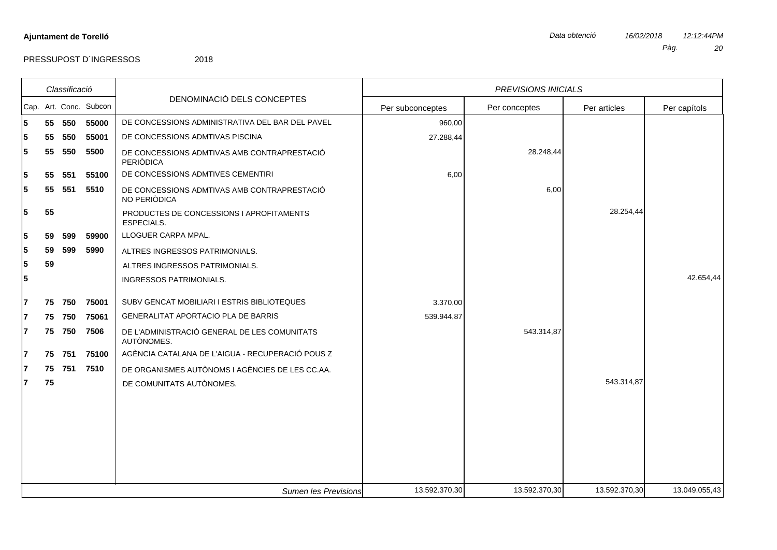|    |    | Classificació |                        |                                                             |                  | <b>PREVISIONS INICIALS</b> |               |               |
|----|----|---------------|------------------------|-------------------------------------------------------------|------------------|----------------------------|---------------|---------------|
|    |    |               | Cap. Art. Conc. Subcon | DENOMINACIÓ DELS CONCEPTES                                  | Per subconceptes | Per conceptes              | Per articles  | Per capítols  |
| 5  |    | 55 550        | 55000                  | DE CONCESSIONS ADMINISTRATIVA DEL BAR DEL PAVEL             | 960,00           |                            |               |               |
|    | 55 | 550           | 55001                  | DE CONCESSIONS ADMTIVAS PISCINA                             | 27.288,44        |                            |               |               |
| 5. | 55 | 550           | 5500                   | DE CONCESSIONS ADMTIVAS AMB CONTRAPRESTACIÓ<br>PERIÒDICA    |                  | 28.248,44                  |               |               |
| 5  | 55 | 551           | 55100                  | DE CONCESSIONS ADMTIVES CEMENTIRI                           | 6,00             |                            |               |               |
| 5  | 55 | 551           | 5510                   | DE CONCESSIONS ADMTIVAS AMB CONTRAPRESTACIÓ<br>NO PERIÒDICA |                  | 6,00                       |               |               |
| 5. | 55 |               |                        | PRODUCTES DE CONCESSIONS I APROFITAMENTS<br>ESPECIALS.      |                  |                            | 28.254,44     |               |
|    | 59 | 599           | 59900                  | LLOGUER CARPA MPAL.                                         |                  |                            |               |               |
| 5  | 59 | 599           | 5990                   | ALTRES INGRESSOS PATRIMONIALS.                              |                  |                            |               |               |
| 5  | 59 |               |                        | ALTRES INGRESSOS PATRIMONIALS.                              |                  |                            |               |               |
| 5  |    |               |                        | INGRESSOS PATRIMONIALS.                                     |                  |                            |               | 42.654,44     |
|    | 75 | 750           | 75001                  | SUBV GENCAT MOBILIARI I ESTRIS BIBLIOTEQUES                 | 3.370,00         |                            |               |               |
|    | 75 | 750           | 75061                  | GENERALITAT APORTACIO PLA DE BARRIS                         | 539.944,87       |                            |               |               |
|    |    | 75 750        | 7506                   | DE L'ADMINISTRACIÓ GENERAL DE LES COMUNITATS<br>AUTÒNOMES.  |                  | 543.314,87                 |               |               |
|    | 75 | 751           | 75100                  | AGÈNCIA CATALANA DE L'AIGUA - RECUPERACIÓ POUS Z            |                  |                            |               |               |
|    | 75 | 751           | 7510                   | DE ORGANISMES AUTÒNOMS I AGÈNCIES DE LES CC.AA.             |                  |                            |               |               |
|    | 75 |               |                        | DE COMUNITATS AUTÒNOMES.                                    |                  |                            | 543.314,87    |               |
|    |    |               |                        |                                                             |                  |                            |               |               |
|    |    |               |                        |                                                             |                  |                            |               |               |
|    |    |               |                        |                                                             |                  |                            |               |               |
|    |    |               |                        | <b>Sumen les Previsions</b>                                 | 13.592.370,30    | 13.592.370,30              | 13.592.370,30 | 13.049.055,43 |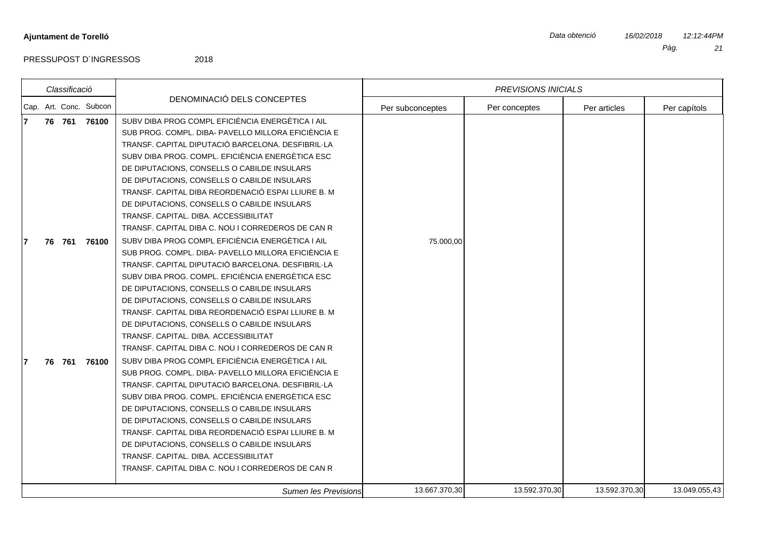|  | Classificació |                        |                                                                                                         |                  | PREVISIONS INICIALS |               |               |
|--|---------------|------------------------|---------------------------------------------------------------------------------------------------------|------------------|---------------------|---------------|---------------|
|  |               | Cap. Art. Conc. Subcon | DENOMINACIÓ DELS CONCEPTES                                                                              | Per subconceptes | Per conceptes       | Per articles  | Per capítols  |
|  | 76 761        | 76100                  | SUBV DIBA PROG COMPL EFICIÈNCIA ENERGÈTICA I AIL<br>SUB PROG. COMPL. DIBA- PAVELLO MILLORA EFICIÈNCIA E |                  |                     |               |               |
|  |               |                        | TRANSF. CAPITAL DIPUTACIÓ BARCELONA. DESFIBRIL·LA                                                       |                  |                     |               |               |
|  |               |                        | SUBV DIBA PROG. COMPL. EFICIÈNCIA ENERGÈTICA ESC                                                        |                  |                     |               |               |
|  |               |                        | DE DIPUTACIONS, CONSELLS O CABILDE INSULARS                                                             |                  |                     |               |               |
|  |               |                        | DE DIPUTACIONS, CONSELLS O CABILDE INSULARS                                                             |                  |                     |               |               |
|  |               |                        | TRANSF. CAPITAL DIBA REORDENACIÓ ESPAI LLIURE B. M.                                                     |                  |                     |               |               |
|  |               |                        | DE DIPUTACIONS, CONSELLS O CABILDE INSULARS                                                             |                  |                     |               |               |
|  |               |                        | TRANSF. CAPITAL. DIBA. ACCESSIBILITAT<br>TRANSF. CAPITAL DIBA C. NOU I CORREDEROS DE CAN R              |                  |                     |               |               |
|  |               |                        |                                                                                                         |                  |                     |               |               |
|  | 76 761        | 76100                  | SUBV DIBA PROG COMPL EFICIÈNCIA ENERGÈTICA I AIL<br>SUB PROG. COMPL. DIBA- PAVELLO MILLORA EFICIÈNCIA E | 75.000,00        |                     |               |               |
|  |               |                        | TRANSF. CAPITAL DIPUTACIÓ BARCELONA. DESFIBRIL·LA                                                       |                  |                     |               |               |
|  |               |                        | SUBV DIBA PROG. COMPL. EFICIÈNCIA ENERGÈTICA ESC                                                        |                  |                     |               |               |
|  |               |                        | DE DIPUTACIONS, CONSELLS O CABILDE INSULARS                                                             |                  |                     |               |               |
|  |               |                        | DE DIPUTACIONS, CONSELLS O CABILDE INSULARS                                                             |                  |                     |               |               |
|  |               |                        | TRANSF. CAPITAL DIBA REORDENACIÓ ESPAI LLIURE B. M                                                      |                  |                     |               |               |
|  |               |                        | DE DIPUTACIONS, CONSELLS O CABILDE INSULARS                                                             |                  |                     |               |               |
|  |               |                        | TRANSF, CAPITAL, DIBA, ACCESSIBILITAT                                                                   |                  |                     |               |               |
|  |               |                        | TRANSF, CAPITAL DIBA C, NOU I CORREDEROS DE CAN R                                                       |                  |                     |               |               |
|  | 76 761        | 76100                  | SUBV DIBA PROG COMPL EFICIÈNCIA ENERGÈTICA I AIL                                                        |                  |                     |               |               |
|  |               |                        | SUB PROG. COMPL. DIBA- PAVELLO MILLORA EFICIÈNCIA E                                                     |                  |                     |               |               |
|  |               |                        | TRANSF. CAPITAL DIPUTACIÓ BARCELONA. DESFIBRIL·LA                                                       |                  |                     |               |               |
|  |               |                        | SUBV DIBA PROG. COMPL. EFICIÈNCIA ENERGÈTICA ESC                                                        |                  |                     |               |               |
|  |               |                        | DE DIPUTACIONS, CONSELLS O CABILDE INSULARS                                                             |                  |                     |               |               |
|  |               |                        | DE DIPUTACIONS, CONSELLS O CABILDE INSULARS                                                             |                  |                     |               |               |
|  |               |                        | TRANSF. CAPITAL DIBA REORDENACIÓ ESPAI LLIURE B. M                                                      |                  |                     |               |               |
|  |               |                        | DE DIPUTACIONS, CONSELLS O CABILDE INSULARS                                                             |                  |                     |               |               |
|  |               |                        | TRANSF, CAPITAL, DIBA, ACCESSIBILITAT                                                                   |                  |                     |               |               |
|  |               |                        | TRANSF. CAPITAL DIBA C. NOU I CORREDEROS DE CAN R                                                       |                  |                     |               |               |
|  |               |                        | Sumen les Previsions                                                                                    | 13.667.370,30    | 13.592.370,30       | 13.592.370,30 | 13.049.055,43 |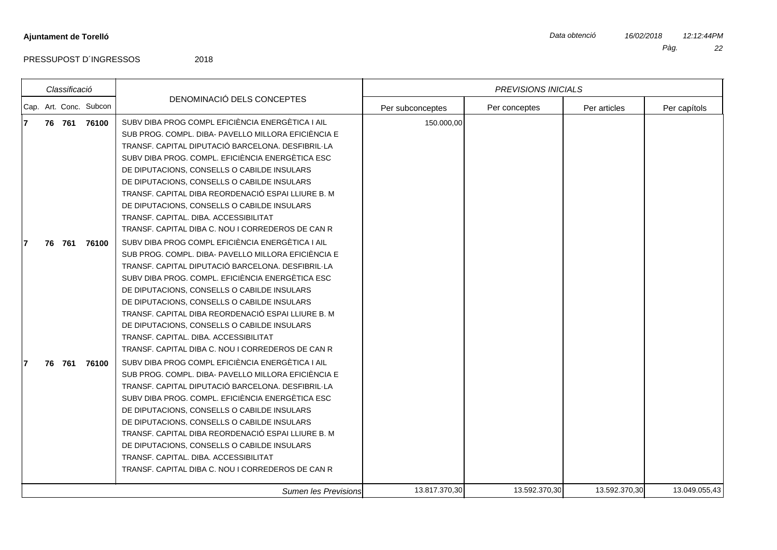|   | Classificació |                        |                                                     |                  | <b>PREVISIONS INICIALS</b> |               |               |
|---|---------------|------------------------|-----------------------------------------------------|------------------|----------------------------|---------------|---------------|
|   |               | Cap. Art. Conc. Subcon | DENOMINACIÓ DELS CONCEPTES                          | Per subconceptes | Per conceptes              | Per articles  | Per capítols  |
| 7 |               | 76 761 76100           | SUBV DIBA PROG COMPL EFICIÈNCIA ENERGÈTICA I AIL    | 150.000,00       |                            |               |               |
|   |               |                        | SUB PROG. COMPL. DIBA- PAVELLO MILLORA EFICIÈNCIA E |                  |                            |               |               |
|   |               |                        | TRANSF. CAPITAL DIPUTACIÓ BARCELONA. DESFIBRIL·LA   |                  |                            |               |               |
|   |               |                        | SUBV DIBA PROG. COMPL. EFICIÈNCIA ENERGÈTICA ESC    |                  |                            |               |               |
|   |               |                        | DE DIPUTACIONS, CONSELLS O CABILDE INSULARS         |                  |                            |               |               |
|   |               |                        | DE DIPUTACIONS, CONSELLS O CABILDE INSULARS         |                  |                            |               |               |
|   |               |                        | TRANSF. CAPITAL DIBA REORDENACIÓ ESPAI LLIURE B. M  |                  |                            |               |               |
|   |               |                        | DE DIPUTACIONS, CONSELLS O CABILDE INSULARS         |                  |                            |               |               |
|   |               |                        | TRANSF. CAPITAL. DIBA. ACCESSIBILITAT               |                  |                            |               |               |
|   |               |                        | TRANSF, CAPITAL DIBA C, NOU I CORREDEROS DE CAN R   |                  |                            |               |               |
|   | 76 761        | 76100                  | SUBV DIBA PROG COMPL EFICIÈNCIA ENERGÈTICA I AIL    |                  |                            |               |               |
|   |               |                        | SUB PROG. COMPL. DIBA- PAVELLO MILLORA EFICIÈNCIA E |                  |                            |               |               |
|   |               |                        | TRANSF. CAPITAL DIPUTACIÓ BARCELONA. DESFIBRIL·LA   |                  |                            |               |               |
|   |               |                        | SUBV DIBA PROG. COMPL. EFICIÈNCIA ENERGÈTICA ESC    |                  |                            |               |               |
|   |               |                        | DE DIPUTACIONS, CONSELLS O CABILDE INSULARS         |                  |                            |               |               |
|   |               |                        | DE DIPUTACIONS, CONSELLS O CABILDE INSULARS         |                  |                            |               |               |
|   |               |                        | TRANSF. CAPITAL DIBA REORDENACIÓ ESPAI LLIURE B. M  |                  |                            |               |               |
|   |               |                        | DE DIPUTACIONS, CONSELLS O CABILDE INSULARS         |                  |                            |               |               |
|   |               |                        | TRANSF. CAPITAL. DIBA. ACCESSIBILITAT               |                  |                            |               |               |
|   |               |                        | TRANSF, CAPITAL DIBA C, NOU I CORREDEROS DE CAN R   |                  |                            |               |               |
|   | 76 761        | 76100                  | SUBV DIBA PROG COMPL EFICIÈNCIA ENERGÈTICA I AIL    |                  |                            |               |               |
|   |               |                        | SUB PROG. COMPL. DIBA- PAVELLO MILLORA EFICIÈNCIA E |                  |                            |               |               |
|   |               |                        | TRANSF. CAPITAL DIPUTACIÓ BARCELONA. DESFIBRIL·LA   |                  |                            |               |               |
|   |               |                        | SUBV DIBA PROG. COMPL. EFICIÈNCIA ENERGÈTICA ESC    |                  |                            |               |               |
|   |               |                        | DE DIPUTACIONS, CONSELLS O CABILDE INSULARS         |                  |                            |               |               |
|   |               |                        | DE DIPUTACIONS, CONSELLS O CABILDE INSULARS         |                  |                            |               |               |
|   |               |                        | TRANSF. CAPITAL DIBA REORDENACIÓ ESPAI LLIURE B. M  |                  |                            |               |               |
|   |               |                        | DE DIPUTACIONS, CONSELLS O CABILDE INSULARS         |                  |                            |               |               |
|   |               |                        | TRANSF, CAPITAL, DIBA, ACCESSIBILITAT               |                  |                            |               |               |
|   |               |                        | TRANSF. CAPITAL DIBA C. NOU I CORREDEROS DE CAN R   |                  |                            |               |               |
|   |               |                        | Sumen les Previsions                                | 13.817.370,30    | 13.592.370,30              | 13.592.370,30 | 13.049.055,43 |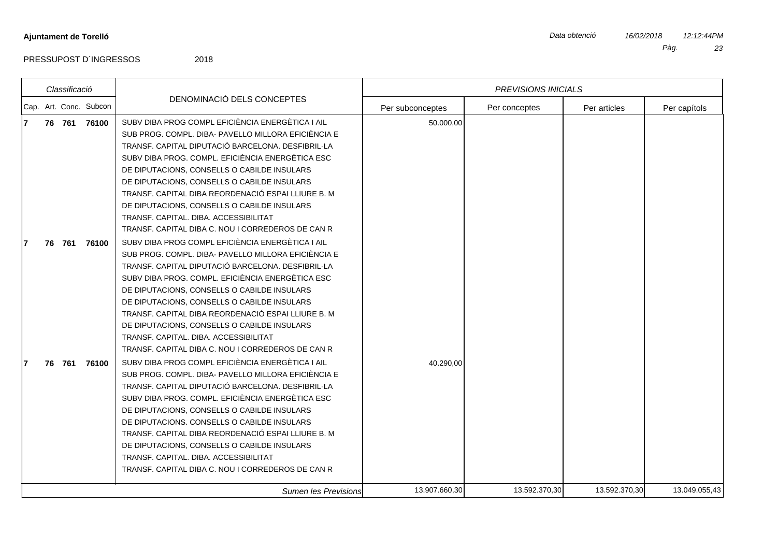|    | Classificació |                        |                                                                                                                                                                                                                                                                                                                                                                                                                                                                                                                    |                  | <b>PREVISIONS INICIALS</b> |               |               |
|----|---------------|------------------------|--------------------------------------------------------------------------------------------------------------------------------------------------------------------------------------------------------------------------------------------------------------------------------------------------------------------------------------------------------------------------------------------------------------------------------------------------------------------------------------------------------------------|------------------|----------------------------|---------------|---------------|
|    |               | Cap. Art. Conc. Subcon | DENOMINACIÓ DELS CONCEPTES                                                                                                                                                                                                                                                                                                                                                                                                                                                                                         | Per subconceptes | Per conceptes              | Per articles  | Per capítols  |
|    |               | 76 761 76100           | SUBV DIBA PROG COMPL EFICIÈNCIA ENERGÈTICA I AIL<br>SUB PROG. COMPL. DIBA- PAVELLO MILLORA EFICIÈNCIA E<br>TRANSF. CAPITAL DIPUTACIÓ BARCELONA. DESFIBRIL·LA<br>SUBV DIBA PROG. COMPL. EFICIÈNCIA ENERGÈTICA ESC<br>DE DIPUTACIONS, CONSELLS O CABILDE INSULARS<br>DE DIPUTACIONS, CONSELLS O CABILDE INSULARS<br>TRANSF. CAPITAL DIBA REORDENACIÓ ESPAI LLIURE B. M.<br>DE DIPUTACIONS, CONSELLS O CABILDE INSULARS<br>TRANSF, CAPITAL, DIBA, ACCESSIBILITAT<br>TRANSF. CAPITAL DIBA C. NOU I CORREDEROS DE CAN R | 50.000,00        |                            |               |               |
|    | 76 761        | 76100                  | SUBV DIBA PROG COMPL EFICIÈNCIA ENERGÈTICA I AIL<br>SUB PROG. COMPL. DIBA- PAVELLO MILLORA EFICIÈNCIA E<br>TRANSF. CAPITAL DIPUTACIÓ BARCELONA. DESFIBRIL·LA<br>SUBV DIBA PROG. COMPL. EFICIÈNCIA ENERGÈTICA ESC<br>DE DIPUTACIONS, CONSELLS O CABILDE INSULARS<br>DE DIPUTACIONS, CONSELLS O CABILDE INSULARS<br>TRANSF. CAPITAL DIBA REORDENACIÓ ESPAI LLIURE B. M.<br>DE DIPUTACIONS, CONSELLS O CABILDE INSULARS<br>TRANSF. CAPITAL. DIBA. ACCESSIBILITAT<br>TRANSF, CAPITAL DIBA C, NOU I CORREDEROS DE CAN R |                  |                            |               |               |
| 76 | 761           | 76100                  | SUBV DIBA PROG COMPL EFICIÈNCIA ENERGÈTICA I AIL<br>SUB PROG. COMPL. DIBA- PAVELLO MILLORA EFICIÈNCIA E<br>TRANSF. CAPITAL DIPUTACIÓ BARCELONA. DESFIBRIL·LA<br>SUBV DIBA PROG. COMPL. EFICIÈNCIA ENERGÈTICA ESC<br>DE DIPUTACIONS, CONSELLS O CABILDE INSULARS<br>DE DIPUTACIONS, CONSELLS O CABILDE INSULARS<br>TRANSF. CAPITAL DIBA REORDENACIÓ ESPAI LLIURE B. M<br>DE DIPUTACIONS, CONSELLS O CABILDE INSULARS<br>TRANSF, CAPITAL, DIBA, ACCESSIBILITAT<br>TRANSF. CAPITAL DIBA C. NOU I CORREDEROS DE CAN R  | 40.290,00        |                            |               |               |
|    |               |                        | Sumen les Previsions                                                                                                                                                                                                                                                                                                                                                                                                                                                                                               | 13.907.660,30    | 13.592.370,30              | 13.592.370,30 | 13.049.055,43 |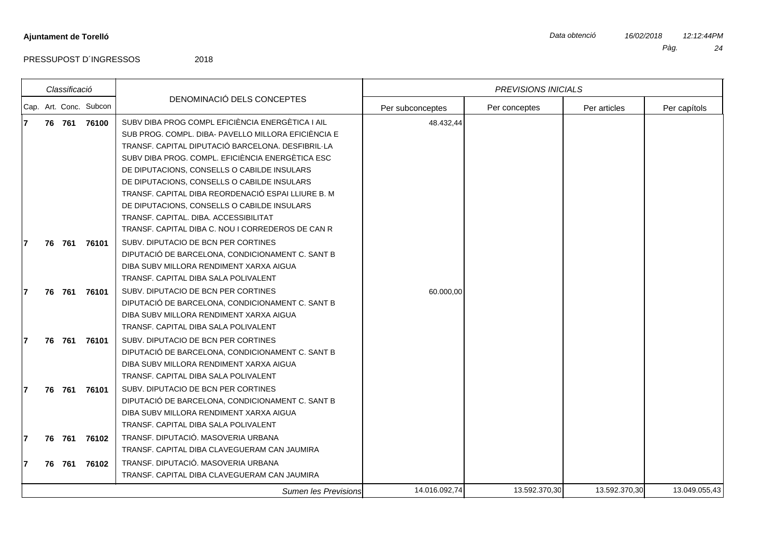$\vert$ Cap.

PRESSUPOST D'INGRESSOS 2018

|   | Classificació |        |                        |                                                     | <b>PREVISIONS INICIALS</b> |               |               |               |
|---|---------------|--------|------------------------|-----------------------------------------------------|----------------------------|---------------|---------------|---------------|
|   |               |        | Cap. Art. Conc. Subcon | DENOMINACIÓ DELS CONCEPTES                          | Per subconceptes           | Per conceptes | Per articles  | Per capítols  |
| 7 |               | 76 761 | 76100                  | SUBV DIBA PROG COMPL EFICIÈNCIA ENERGÈTICA I AIL    | 48.432,44                  |               |               |               |
|   |               |        |                        | SUB PROG. COMPL. DIBA- PAVELLO MILLORA EFICIÈNCIA E |                            |               |               |               |
|   |               |        |                        | TRANSF. CAPITAL DIPUTACIÓ BARCELONA. DESFIBRIL·LA   |                            |               |               |               |
|   |               |        |                        | SUBV DIBA PROG. COMPL. EFICIÈNCIA ENERGÈTICA ESC    |                            |               |               |               |
|   |               |        |                        | DE DIPUTACIONS, CONSELLS O CABILDE INSULARS         |                            |               |               |               |
|   |               |        |                        | DE DIPUTACIONS, CONSELLS O CABILDE INSULARS         |                            |               |               |               |
|   |               |        |                        | TRANSF. CAPITAL DIBA REORDENACIÓ ESPAI LLIURE B. M  |                            |               |               |               |
|   |               |        |                        | DE DIPUTACIONS, CONSELLS O CABILDE INSULARS         |                            |               |               |               |
|   |               |        |                        | TRANSF. CAPITAL. DIBA. ACCESSIBILITAT               |                            |               |               |               |
|   |               |        |                        | TRANSF. CAPITAL DIBA C. NOU I CORREDEROS DE CAN R   |                            |               |               |               |
|   |               | 76 761 | 76101                  | SUBV. DIPUTACIO DE BCN PER CORTINES                 |                            |               |               |               |
|   |               |        |                        | DIPUTACIÓ DE BARCELONA, CONDICIONAMENT C. SANT B    |                            |               |               |               |
|   |               |        |                        | DIBA SUBV MILLORA RENDIMENT XARXA AIGUA             |                            |               |               |               |
|   |               |        |                        | TRANSF, CAPITAL DIBA SALA POLIVALENT                |                            |               |               |               |
|   | 76 761        |        | 76101                  | SUBV. DIPUTACIO DE BCN PER CORTINES                 | 60.000,00                  |               |               |               |
|   |               |        |                        | DIPUTACIÓ DE BARCELONA, CONDICIONAMENT C. SANT B    |                            |               |               |               |
|   |               |        |                        | DIBA SUBV MILLORA RENDIMENT XARXA AIGUA             |                            |               |               |               |
|   |               |        |                        | TRANSF. CAPITAL DIBA SALA POLIVALENT                |                            |               |               |               |
|   |               | 76 761 | 76101                  | SUBV. DIPUTACIO DE BCN PER CORTINES                 |                            |               |               |               |
|   |               |        |                        | DIPUTACIÓ DE BARCELONA, CONDICIONAMENT C. SANT B    |                            |               |               |               |
|   |               |        |                        | DIBA SUBV MILLORA RENDIMENT XARXA AIGUA             |                            |               |               |               |
|   |               |        |                        | TRANSF. CAPITAL DIBA SALA POLIVALENT                |                            |               |               |               |
|   |               | 76 761 | 76101                  | SUBV. DIPUTACIO DE BCN PER CORTINES                 |                            |               |               |               |
|   |               |        |                        | DIPUTACIÓ DE BARCELONA, CONDICIONAMENT C. SANT B    |                            |               |               |               |
|   |               |        |                        | DIBA SUBV MILLORA RENDIMENT XARXA AIGUA             |                            |               |               |               |
|   |               |        |                        | TRANSF. CAPITAL DIBA SALA POLIVALENT                |                            |               |               |               |
|   |               | 76 761 | 76102                  | TRANSF. DIPUTACIÓ. MASOVERIA URBANA                 |                            |               |               |               |
|   |               |        |                        | TRANSF. CAPITAL DIBA CLAVEGUERAM CAN JAUMIRA        |                            |               |               |               |
| 7 |               | 76 761 | 76102                  | TRANSF. DIPUTACIÓ. MASOVERIA URBANA                 |                            |               |               |               |
|   |               |        |                        | TRANSF. CAPITAL DIBA CLAVEGUERAM CAN JAUMIRA        |                            |               |               |               |
|   |               |        |                        | Sumen les Previsions                                | 14.016.092,74              | 13.592.370,30 | 13.592.370,30 | 13.049.055,43 |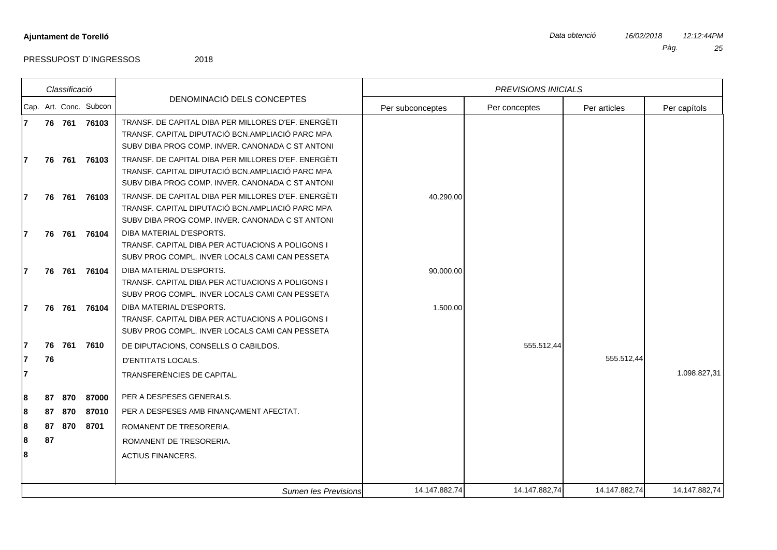|                        | Classificació |              |                                                                              | <b>PREVISIONS INICIALS</b> |               |              |              |
|------------------------|---------------|--------------|------------------------------------------------------------------------------|----------------------------|---------------|--------------|--------------|
| Cap. Art. Conc. Subcon |               |              | DENOMINACIÓ DELS CONCEPTES                                                   | Per subconceptes           | Per conceptes | Per articles | Per capítols |
| 7                      |               | 76 761 76103 | TRANSF. DE CAPITAL DIBA PER MILLORES D'EF. ENERGÈTI                          |                            |               |              |              |
|                        |               |              | TRANSF. CAPITAL DIPUTACIÓ BCN.AMPLIACIÓ PARC MPA                             |                            |               |              |              |
|                        |               |              | SUBV DIBA PROG COMP. INVER. CANONADA C ST ANTONI                             |                            |               |              |              |
| 7                      | 76 761        | 76103        | TRANSF. DE CAPITAL DIBA PER MILLORES D'EF. ENERGÈTI                          |                            |               |              |              |
|                        |               |              | TRANSF. CAPITAL DIPUTACIÓ BCN.AMPLIACIÓ PARC MPA                             |                            |               |              |              |
|                        |               |              | SUBV DIBA PROG COMP. INVER. CANONADA C ST ANTONI                             |                            |               |              |              |
|                        | 76 761        | 76103        | TRANSF. DE CAPITAL DIBA PER MILLORES D'EF. ENERGÈTI                          | 40.290,00                  |               |              |              |
|                        |               |              | TRANSF. CAPITAL DIPUTACIÓ BCN.AMPLIACIÓ PARC MPA                             |                            |               |              |              |
|                        |               |              | SUBV DIBA PROG COMP. INVER. CANONADA C ST ANTONI                             |                            |               |              |              |
|                        | 76 761        | 76104        | DIBA MATERIAL D'ESPORTS.<br>TRANSF. CAPITAL DIBA PER ACTUACIONS A POLIGONS I |                            |               |              |              |
|                        |               |              | SUBV PROG COMPL. INVER LOCALS CAMI CAN PESSETA                               |                            |               |              |              |
|                        |               | 76 761 76104 | DIBA MATERIAL D'ESPORTS.                                                     | 90.000,00                  |               |              |              |
|                        |               |              | TRANSF. CAPITAL DIBA PER ACTUACIONS A POLIGONS I                             |                            |               |              |              |
|                        |               |              | SUBV PROG COMPL. INVER LOCALS CAMI CAN PESSETA                               |                            |               |              |              |
|                        | 76 761        | 76104        | DIBA MATERIAL D'ESPORTS.                                                     | 1.500,00                   |               |              |              |
|                        |               |              | TRANSF, CAPITAL DIBA PER ACTUACIONS A POLIGONS I                             |                            |               |              |              |
|                        |               |              | SUBV PROG COMPL. INVER LOCALS CAMI CAN PESSETA                               |                            |               |              |              |
|                        | 76 761        | 7610         | DE DIPUTACIONS, CONSELLS O CABILDOS.                                         |                            | 555.512,44    |              |              |
| 76                     |               |              | <b>D'ENTITATS LOCALS.</b>                                                    |                            |               | 555.512,44   |              |
| 7                      |               |              | TRANSFERÈNCIES DE CAPITAL.                                                   |                            |               |              | 1.098.827,31 |
|                        |               |              |                                                                              |                            |               |              |              |
| 87<br>8                | 870           | 87000        | PER A DESPESES GENERALS.                                                     |                            |               |              |              |
| 87<br>8                | 870           | 87010        | PER A DESPESES AMB FINANCAMENT AFECTAT.                                      |                            |               |              |              |
| 87<br>8                | 870           | 8701         | ROMANENT DE TRESORERIA.                                                      |                            |               |              |              |
| 87<br>8                |               |              | ROMANENT DE TRESORERIA.                                                      |                            |               |              |              |
| 8                      |               |              | <b>ACTIUS FINANCERS.</b>                                                     |                            |               |              |              |
|                        |               |              |                                                                              |                            |               |              |              |
|                        |               |              |                                                                              |                            |               |              |              |